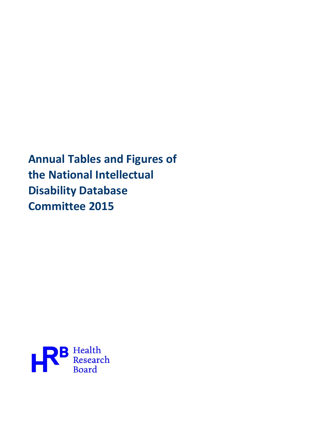**Annual Tables and Figures of the National Intellectual Disability Database Committee 2015**

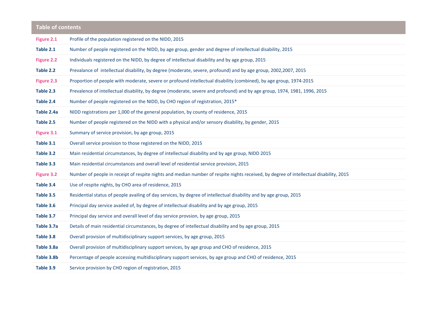| <b>Table of contents</b> |                                                                                                                                        |
|--------------------------|----------------------------------------------------------------------------------------------------------------------------------------|
| Figure 2.1               | Profile of the population registered on the NIDD, 2015                                                                                 |
| Table 2.1                | Number of people registered on the NIDD, by age group, gender and degree of intellectual disability, 2015                              |
| Figure 2.2               | Individuals registered on the NIDD, by degree of intellectual disability and by age group, 2015                                        |
| Table 2.2                | Prevalance of intellectual disability, by degree (moderate, severe, profound) and by age group, 2002,2007, 2015                        |
| Figure 2.3               | Proportion of people with moderate, severe or profound intellectual disability (combined), by age group, 1974-2015                     |
| Table 2.3                | Prevalence of intellectual disability, by degree (moderate, severe and profound) and by age group, 1974, 1981, 1996, 2015              |
| Table 2.4                | Number of people registered on the NIDD, by CHO region of registration, 2015*                                                          |
| Table 2.4a               | NIDD registrations per 1,000 of the general population, by county of residence, 2015                                                   |
| Table 2.5                | Number of people registered on the NIDD with a physical and/or sensory disability, by gender, 2015                                     |
| Figure 3.1               | Summary of service provision, by age group, 2015                                                                                       |
| Table 3.1                | Overall service provision to those registered on the NIDD, 2015                                                                        |
| Table 3.2                | Main residential circumstances, by degree of intellectual disability and by age group, NIDD 2015                                       |
| Table 3.3                | Main residential circumstances and overall level of residential service provision, 2015                                                |
| <b>Figure 3.2</b>        | Number of people in receipt of respite nights and median number of respite nights received, by degree of intellectual disability, 2015 |
| Table 3.4                | Use of respite nights, by CHO area of residence, 2015                                                                                  |
| Table 3.5                | Residential status of people availing of day services, by degree of intellectual disability and by age group, 2015                     |
| Table 3.6                | Principal day service availed of, by degree of intellectual disability and by age group, 2015                                          |
| Table 3.7                | Principal day service and overall level of day service provsion, by age group, 2015                                                    |
| Table 3.7a               | Details of main residential circumstances, by degree of intellectual disability and by age group, 2015                                 |
| Table 3.8                | Overall provision of multidisciplinary support services, by age group, 2015                                                            |
| Table 3.8a               | Overall provision of multidisciplinary support services, by age group and CHO of residence, 2015                                       |
| Table 3.8b               | Percentage of people accessing multidisciplinary support services, by age group and CHO of residence, 2015                             |
| Table 3.9                | Service provision by CHO region of registration, 2015                                                                                  |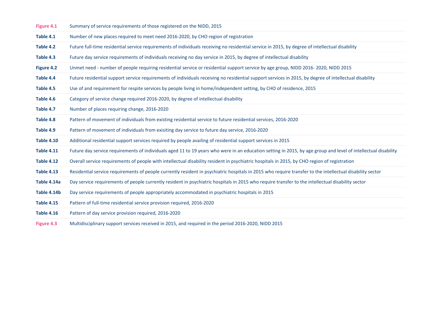| Figure 4.1        | Summary of service requirements of those registered on the NIDD, 2015                                                                                          |
|-------------------|----------------------------------------------------------------------------------------------------------------------------------------------------------------|
| Table 4.1         | Number of new places required to meet need 2016-2020, by CHO region of registration                                                                            |
| Table 4.2         | Future full-time residential service requirements of individuals receiving no residential service in 2015, by degree of intellectual disability                |
| Table 4.3         | Future day service requirements of individuals receiving no day service in 2015, by degree of intellectual disability                                          |
| Figure 4.2        | Unmet need - number of people requiring residential service or residential support service by age group, NIDD 2016-2020, NIDD 2015                             |
| Table 4.4         | Future residential support service requirements of individuals receiving no residential support services in 2015, by degree of intellectual disability         |
| Table 4.5         | Use of and requirement for respite services by people living in home/independent setting, by CHO of residence, 2015                                            |
| Table 4.6         | Category of service change required 2016-2020, by degree of intellectual disability                                                                            |
| Table 4.7         | Number of places requiring change, 2016-2020                                                                                                                   |
| Table 4.8         | Pattern of movement of individuals from existing residential service to future residential services, 2016-2020                                                 |
| Table 4.9         | Pattern of movement of individuals from exisiting day service to future day service, 2016-2020                                                                 |
| <b>Table 4.10</b> | Additional residential support services required by people availing of residential support services in 2015                                                    |
| <b>Table 4.11</b> | Future day service requirements of individuals aged 11 to 19 years who were in an education setting in 2015, by age group and level of intellectual disability |
| <b>Table 4.12</b> | Overall service requirements of people with intellectual disability resident in psychiatric hospitals in 2015, by CHO region of registration                   |
| <b>Table 4.13</b> | Residential service requirements of people currently resident in psychiatric hospitals in 2015 who require transfer to the intellectual disability sector      |
| Table 4.14a       | Day service requirements of people currently resident in psychiatric hospitals in 2015 who require transfer to the intellectual disability sector              |
| Table 4.14b       | Day service requirements of people appropriately accommodated in psychiatric hospitals in 2015                                                                 |
| <b>Table 4.15</b> | Pattern of full-time residential service provision required, 2016-2020                                                                                         |
| <b>Table 4.16</b> | Pattern of day service provision required, 2016-2020                                                                                                           |
| Figure 4.3        | Multidisciplinary support services received in 2015, and required in the period 2016-2020, NIDD 2015                                                           |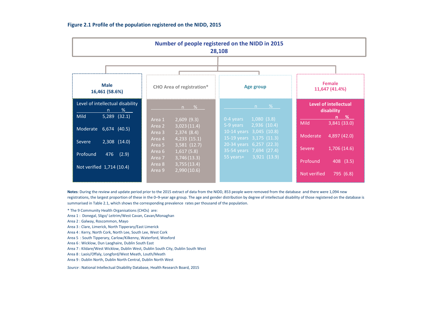| Number of people registered on the NIDD in 2015<br>28,108                     |                                                                        |                                                                                  |                                                         |  |  |  |  |  |  |  |  |
|-------------------------------------------------------------------------------|------------------------------------------------------------------------|----------------------------------------------------------------------------------|---------------------------------------------------------|--|--|--|--|--|--|--|--|
|                                                                               |                                                                        |                                                                                  |                                                         |  |  |  |  |  |  |  |  |
| <b>Male</b><br>16,461 (58.6%)                                                 | <b>CHO</b> Area of registration*                                       | <b>Age group</b>                                                                 | <b>Female</b><br>11,647 (41.4%)                         |  |  |  |  |  |  |  |  |
| Level of intellectual disability<br>%<br>n<br><b>Mild</b><br>$5,289$ $(32.1)$ | %<br>$2,609$ (9.3)<br>Area 1                                           | %<br>n<br>1,080(3.8)<br>0-4 years                                                | Level of intellectual<br>disability<br>n %              |  |  |  |  |  |  |  |  |
| Moderate<br>$6,674$ (40.5)                                                    | 3,023(11.4)<br>Area 2<br>2,374(8.4)<br>Area 3<br>4,233(15.1)<br>Area 4 | 2,936(10.4)<br>5-9 years<br>10-14 years 3,045 (10.8)<br>15-19 years 3,175 (11.3) | <b>Mild</b><br>3,841 (33.0)<br>4,897 (42.0)<br>Moderate |  |  |  |  |  |  |  |  |
| 2,308 (14.0)<br>Severe<br>Profound<br>476<br>(2.9)                            | 3,581(12.7)<br>Area 5<br>1,617(5.8)<br>Area 6<br>3,746(13.3)<br>Area 7 | 20-34 years 6,257 (22.3)<br>35-54 years 7,694 (27.4)<br>3,921(13.9)<br>55 years+ | 1,706 (14.6)<br>Severe                                  |  |  |  |  |  |  |  |  |
|                                                                               | $2.70011121$<br>$\Delta$ $\sim$ $\sim$ $\Omega$                        |                                                                                  | Profound<br>408(3.5)                                    |  |  |  |  |  |  |  |  |

**Figure 2.1 Profile of the population registered on the NIDD, 2015**

**Notes**: During the review and update period prior to the 2015 extract of data from the NIDD, 853 people were removed from the database and there were 1,094 new registrations, the largest proportion of these in the 0-9-year age group. The age and gender distribution by degree of intellectual disability of those registered on the database is summarised in Table 2.1, which shows the corresponding prevalence rates per thousand of the population.

Not verified

795 (6.8)

\* The 9 Community Health Organisations (CHOs) are:

- Area 1 : Donegal, Sligo/ Leitrim/West Cavan, Cavan/Monaghan
- Area 2 : Galway, Roscommon, Mayo

Not verified 1,714 (10.4)

- Area 3 : Clare, Limerick, North Tipperary/East Limerick
- Area 4 : Kerry, North Cork, North Lee, South Lee, West Cork
- Area 5 : South Tipperary, Carlow/Kilkenny, Waterford, Wexford
- Area 6 : Wicklow, Dun Laoghaire, Dublin South East
- Area 7 : Kildare/West Wicklow, Dublin West, Dublin South City, Dublin South West

Area

Area 9

8 3,755 (13.4)

9 2,990 (10.6)

- Area 8 : Laois/Offaly, Longford/West Meath, Louth/Meath
- Area 9 : Dublin North, Dublin North Central, Dublin North West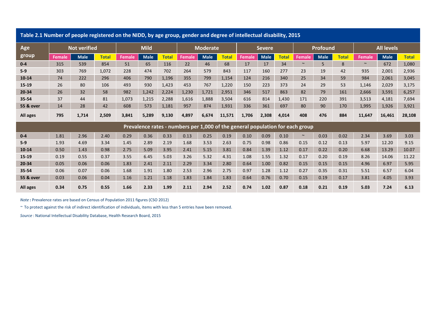| Table 2.1 Number of people registered on the NIDD, by age group, gender and degree of intellectual disability, 2015 |               |                     |              |               |             |              |                                                                               |                 |              |               |             |              |        |             |              |                   |             |              |
|---------------------------------------------------------------------------------------------------------------------|---------------|---------------------|--------------|---------------|-------------|--------------|-------------------------------------------------------------------------------|-----------------|--------------|---------------|-------------|--------------|--------|-------------|--------------|-------------------|-------------|--------------|
| Age                                                                                                                 |               | <b>Not verified</b> |              |               | <b>Mild</b> |              |                                                                               | <b>Moderate</b> |              | <b>Severe</b> |             |              |        | Profound    |              | <b>All levels</b> |             |              |
| group                                                                                                               | <b>Female</b> | <b>Male</b>         | <b>Total</b> | <b>Female</b> | <b>Male</b> | <b>Total</b> | <b>Female</b>                                                                 | <b>Male</b>     | <b>Total</b> | Female        | <b>Male</b> | <b>Total</b> | Female | <b>Male</b> | <b>Total</b> | <b>Female</b>     | <b>Male</b> | <b>Total</b> |
| $0 - 4$                                                                                                             | 315           | 539                 | 854          | 51            | 65          | 116          | 22                                                                            | 46              | 68           | 17            | 17          | 34           | $\sim$ | 5           | 8            | $\sim$            | 672         | 1,080        |
| $5-9$                                                                                                               | 303           | 769                 | 1,072        | 228           | 474         | 702          | 264                                                                           | 579             | 843          | 117           | 160         | 277          | 23     | 19          | 42           | 935               | 2,001       | 2,936        |
| $10 - 14$                                                                                                           | 74            | 222                 | 296          | 406           | 790         | 1,196        | 355                                                                           | 799             | 1,154        | 124           | 216         | 340          | 25     | 34          | 59           | 984               | 2,061       | 3,045        |
| $15 - 19$                                                                                                           | 26            | 80                  | 106          | 493           | 930         | 1,423        | 453                                                                           | 767             | 1,220        | 150           | 223         | 373          | 24     | 29          | 53           | 1,146             | 2,029       | 3,175        |
| 20-34                                                                                                               | 26            | 32                  | 58           | 982           | 1,242       | 2,224        | 1,230                                                                         | 1,721           | 2,951        | 346           | 517         | 863          | 82     | 79          | 161          | 2,666             | 3,591       | 6,257        |
| 35-54                                                                                                               | 37            | 44                  | 81           | 1,073         | 1,215       | 2,288        | 1,616                                                                         | 1,888           | 3,504        | 616           | 814         | 1,430        | 171    | 220         | 391          | 3,513             | 4,181       | 7,694        |
| 55 & over                                                                                                           | 14            | 28                  | 42           | 608           | 573         | 1,181        | 957                                                                           | 874             | 1,931        | 336           | 361         | 697          | 80     | 90          | 170          | 1,995             | 1,926       | 3,921        |
| All ages                                                                                                            | 795           | 1,714               | 2,509        | 3,841         | 5,289       | 9,130        | 4,897                                                                         | 6,674           | 11,571       | 1,706         | 2,308       | 4,014        | 408    | 476         | 884          | 11,647            | 16,461      | 28,108       |
|                                                                                                                     |               |                     |              |               |             |              | Prevalence rates - numbers per 1,000 of the general population for each group |                 |              |               |             |              |        |             |              |                   |             |              |
| $0 - 4$                                                                                                             | 1.81          | 2.96                | 2.40         | 0.29          | 0.36        | 0.33         | 0.13                                                                          | 0.25            | 0.19         | 0.10          | 0.09        | 0.10         | $\sim$ | 0.03        | 0.02         | 2.34              | 3.69        | 3.03         |
| $5-9$                                                                                                               | 1.93          | 4.69                | 3.34         | 1.45          | 2.89        | 2.19         | 1.68                                                                          | 3.53            | 2.63         | 0.75          | 0.98        | 0.86         | 0.15   | 0.12        | 0.13         | 5.97              | 12.20       | 9.15         |
| $10 - 14$                                                                                                           | 0.50          | 1.43                | 0.98         | 2.75          | 5.09        | 3.95         | 2.41                                                                          | 5.15            | 3.81         | 0.84          | 1.39        | 1.12         | 0.17   | 0.22        | 0.20         | 6.68              | 13.29       | 10.07        |
| 15-19                                                                                                               | 0.19          | 0.55                | 0.37         | 3.55          | 6.45        | 5.03         | 3.26                                                                          | 5.32            | 4.31         | 1.08          | 1.55        | 1.32         | 0.17   | 0.20        | 0.19         | 8.26              | 14.06       | 11.22        |
| 20-34                                                                                                               | 0.05          | 0.06                | 0.06         | 1.83          | 2.41        | 2.11         | 2.29                                                                          | 3.34            | 2.80         | 0.64          | 1.00        | 0.82         | 0.15   | 0.15        | 0.15         | 4.96              | 6.97        | 5.95         |
| 35-54                                                                                                               | 0.06          | 0.07                | 0.06         | 1.68          | 1.91        | 1.80         | 2.53                                                                          | 2.96            | 2.75         | 0.97          | 1.28        | 1.12         | 0.27   | 0.35        | 0.31         | 5.51              | 6.57        | 6.04         |
| <b>55 &amp; over</b>                                                                                                | 0.03          | 0.06                | 0.04         | 1.16          | 1.21        | 1.18         | 1.83                                                                          | 1.84            | 1.83         | 0.64          | 0.76        | 0.70         | 0.15   | 0.19        | 0.17         | 3.81              | 4.05        | 3.93         |
| All ages                                                                                                            | 0.34          | 0.75                | 0.55         | 1.66          | 2.33        | 1.99         | 2.11                                                                          | 2.94            | 2.52         | 0.74          | 1.02        | 0.87         | 0.18   | 0.21        | 0.19         | 5.03              | 7.24        | 6.13         |

*Note* **:** Prevalence rates are based on Census of Population 2011 figures (CSO 2012)

*~* To protect against the risk of indirect identification of individuals, items with less than 5 entries have been removed.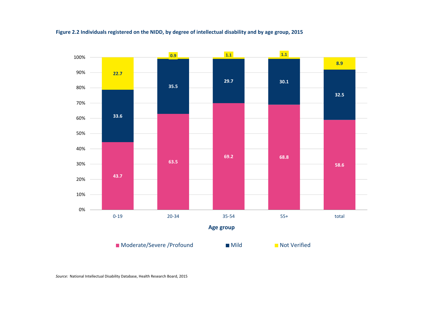

Figure 2.2 Individuals registered on the NIDD, by degree of intellectual disability and by age group, 2015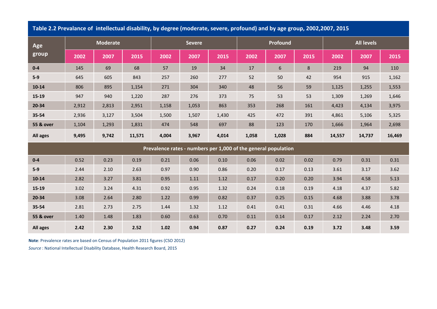| Age                  |       | <b>Moderate</b> |        |       | <b>Severe</b> |       |       | Profound                                                       |      |        | <b>All levels</b> |        |  |  |
|----------------------|-------|-----------------|--------|-------|---------------|-------|-------|----------------------------------------------------------------|------|--------|-------------------|--------|--|--|
| group                | 2002  | 2007            | 2015   | 2002  | 2007          | 2015  | 2002  | 2007                                                           | 2015 | 2002   | 2007              | 2015   |  |  |
| $0 - 4$              | 145   | 69              | 68     | 57    | 19            | 34    | 17    | 6                                                              | 8    | 219    | 94                | 110    |  |  |
| $5-9$                | 645   | 605             | 843    | 257   | 260           | 277   | 52    | 50                                                             | 42   | 954    | 915               | 1,162  |  |  |
| $10 - 14$            | 806   | 895             | 1,154  | 271   | 304           | 340   | 48    | 56                                                             | 59   | 1,125  | 1,255             | 1,553  |  |  |
| 15-19                | 947   | 940             | 1,220  | 287   | 276           | 373   | 75    | 53                                                             | 53   | 1,309  | 1,269             | 1,646  |  |  |
| 20-34                | 2,912 | 2,813           | 2,951  | 1,158 | 1,053         | 863   | 353   | 268                                                            | 161  | 4,423  | 4,134             | 3,975  |  |  |
| 35-54                | 2,936 | 3,127           | 3,504  | 1,500 | 1,507         | 1,430 | 425   | 472                                                            | 391  | 4,861  | 5,106             | 5,325  |  |  |
| <b>55 &amp; over</b> | 1,104 | 1,293           | 1,831  | 474   | 548           | 697   | 88    | 123                                                            | 170  | 1,666  | 1,964             | 2,698  |  |  |
| All ages             | 9,495 | 9,742           | 11,571 | 4,004 | 3,967         | 4,014 | 1,058 | 1,028                                                          | 884  | 14,557 | 14,737            | 16,469 |  |  |
|                      |       |                 |        |       |               |       |       | Prevalence rates - numbers per 1,000 of the general population |      |        |                   |        |  |  |
| $0-4$                | 0.52  | 0.23            | 0.19   | 0.21  | 0.06          | 0.10  | 0.06  | 0.02                                                           | 0.02 | 0.79   | 0.31              | 0.31   |  |  |
| $5-9$                | 2.44  | 2.10            | 2.63   | 0.97  | 0.90          | 0.86  | 0.20  | 0.17                                                           | 0.13 | 3.61   | 3.17              | 3.62   |  |  |
| $10 - 14$            | 2.82  | 3.27            | 3.81   | 0.95  | 1.11          | 1.12  | 0.17  | 0.20                                                           | 0.20 | 3.94   | 4.58              | 5.13   |  |  |
| 15-19                | 3.02  | 3.24            | 4.31   | 0.92  | 0.95          | 1.32  | 0.24  | 0.18                                                           | 0.19 | 4.18   | 4.37              | 5.82   |  |  |
| 20-34                | 3.08  | 2.64            | 2.80   | 1.22  | 0.99          | 0.82  | 0.37  | 0.25                                                           | 0.15 | 4.68   | 3.88              | 3.78   |  |  |
| 35-54                | 2.81  | 2.73            | 2.75   | 1.44  | 1.32          | 1.12  | 0.41  | 0.41                                                           | 0.31 | 4.66   | 4.46              | 4.18   |  |  |
| <b>55 &amp; over</b> | 1.40  | 1.48            | 1.83   | 0.60  | 0.63          | 0.70  | 0.11  | 0.14                                                           | 0.17 | 2.12   | 2.24              | 2.70   |  |  |
| All ages             | 2.42  | 2.30            | 2.52   | 1.02  | 0.94          | 0.87  | 0.27  | 0.24                                                           | 0.19 | 3.72   | 3.48              | 3.59   |  |  |

Table 2.2 Prevalance of intellectual disability, by degree (moderate, severe, profound) and by age group, 2002,2007, 2015

**Note**: Prevalence rates are based on Census of Population 2011 figures (CSO 2012)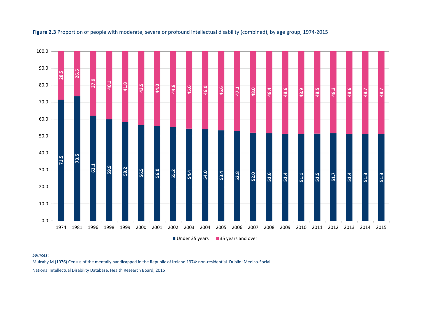

## **Figure 2.3** Proportion of people with moderate, severe or profound intellectual disability (combined), by age group, 1974‐2015

#### *Sources***:**

Mulcahy M (1976) Census of the mentally handicapped in the Republic of Ireland 1974: non‐residential. Dublin: Medico‐Social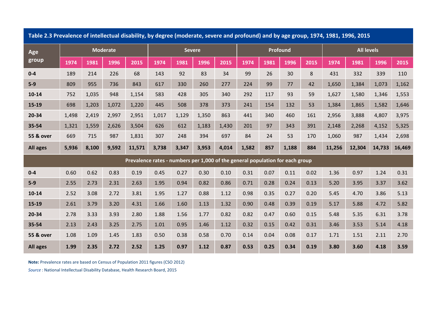| Table 2.3 Prevalence of intellectual disability, by degree (moderate, severe and profound) and by age group, 1974, 1981, 1996, 2015 |       |       |                 |                                                                               |               |       |       |       |       |          |       |      |                   |        |        |        |
|-------------------------------------------------------------------------------------------------------------------------------------|-------|-------|-----------------|-------------------------------------------------------------------------------|---------------|-------|-------|-------|-------|----------|-------|------|-------------------|--------|--------|--------|
| Age                                                                                                                                 |       |       | <b>Moderate</b> |                                                                               | <b>Severe</b> |       |       |       |       | Profound |       |      | <b>All levels</b> |        |        |        |
| group                                                                                                                               | 1974  | 1981  | 1996            | 2015                                                                          | 1974          | 1981  | 1996  | 2015  | 1974  | 1981     | 1996  | 2015 | 1974              | 1981   | 1996   | 2015   |
| $0-4$                                                                                                                               | 189   | 214   | 226             | 68                                                                            | 143           | 92    | 83    | 34    | 99    | 26       | 30    | 8    | 431               | 332    | 339    | 110    |
| $5-9$                                                                                                                               | 809   | 955   | 736             | 843                                                                           | 617           | 330   | 260   | 277   | 224   | 99       | 77    | 42   | 1,650             | 1,384  | 1,073  | 1,162  |
| $10 - 14$                                                                                                                           | 752   | 1,035 | 948             | 1,154                                                                         | 583           | 428   | 305   | 340   | 292   | 117      | 93    | 59   | 1,627             | 1,580  | 1,346  | 1,553  |
| 15-19                                                                                                                               | 698   | 1,203 | 1,072           | 1,220                                                                         | 445           | 508   | 378   | 373   | 241   | 154      | 132   | 53   | 1,384             | 1,865  | 1,582  | 1,646  |
| 20-34                                                                                                                               | 1,498 | 2,419 | 2,997           | 2,951                                                                         | 1,017         | 1,129 | 1,350 | 863   | 441   | 340      | 460   | 161  | 2,956             | 3,888  | 4,807  | 3,975  |
| 35-54                                                                                                                               | 1,321 | 1,559 | 2,626           | 3,504                                                                         | 626           | 612   | 1,183 | 1,430 | 201   | 97       | 343   | 391  | 2,148             | 2,268  | 4,152  | 5,325  |
| <b>55 &amp; over</b>                                                                                                                | 669   | 715   | 987             | 1,831                                                                         | 307           | 248   | 394   | 697   | 84    | 24       | 53    | 170  | 1,060             | 987    | 1,434  | 2,698  |
| <b>All ages</b>                                                                                                                     | 5,936 | 8,100 | 9,592           | 11,571                                                                        | 3,738         | 3,347 | 3,953 | 4,014 | 1,582 | 857      | 1,188 | 884  | 11,256            | 12,304 | 14,733 | 16,469 |
|                                                                                                                                     |       |       |                 | Prevalence rates - numbers per 1,000 of the general population for each group |               |       |       |       |       |          |       |      |                   |        |        |        |
| $0-4$                                                                                                                               | 0.60  | 0.62  | 0.83            | 0.19                                                                          | 0.45          | 0.27  | 0.30  | 0.10  | 0.31  | 0.07     | 0.11  | 0.02 | 1.36              | 0.97   | 1.24   | 0.31   |
| $5-9$                                                                                                                               | 2.55  | 2.73  | 2.31            | 2.63                                                                          | 1.95          | 0.94  | 0.82  | 0.86  | 0.71  | 0.28     | 0.24  | 0.13 | 5.20              | 3.95   | 3.37   | 3.62   |
| $10 - 14$                                                                                                                           | 2.52  | 3.08  | 2.72            | 3.81                                                                          | 1.95          | 1.27  | 0.88  | 1.12  | 0.98  | 0.35     | 0.27  | 0.20 | 5.45              | 4.70   | 3.86   | 5.13   |
| 15-19                                                                                                                               | 2.61  | 3.79  | 3.20            | 4.31                                                                          | 1.66          | 1.60  | 1.13  | 1.32  | 0.90  | 0.48     | 0.39  | 0.19 | 5.17              | 5.88   | 4.72   | 5.82   |
| 20-34                                                                                                                               | 2.78  | 3.33  | 3.93            | 2.80                                                                          | 1.88          | 1.56  | 1.77  | 0.82  | 0.82  | 0.47     | 0.60  | 0.15 | 5.48              | 5.35   | 6.31   | 3.78   |
| 35-54                                                                                                                               | 2.13  | 2.43  | 3.25            | 2.75                                                                          | 1.01          | 0.95  | 1.46  | 1.12  | 0.32  | 0.15     | 0.42  | 0.31 | 3.46              | 3.53   | 5.14   | 4.18   |
| <b>55 &amp; over</b>                                                                                                                | 1.08  | 1.09  | 1.45            | 1.83                                                                          | 0.50          | 0.38  | 0.58  | 0.70  | 0.14  | 0.04     | 0.08  | 0.17 | 1.71              | 1.51   | 2.11   | 2.70   |
| <b>All ages</b>                                                                                                                     | 1.99  | 2.35  | 2.72            | 2.52                                                                          | 1.25          | 0.97  | 1.12  | 0.87  | 0.53  | 0.25     | 0.34  | 0.19 | 3.80              | 3.60   | 4.18   | 3.59   |

**Note:** Prevalence rates are based on Census of Population 2011 figures (CSO 2012)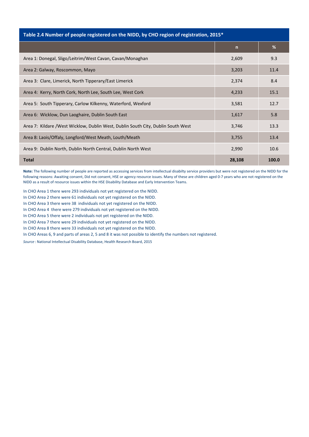| Table 2.4 Number of people registered on the NIDD, by CHO region of registration, 2015* |              |       |
|-----------------------------------------------------------------------------------------|--------------|-------|
|                                                                                         | $\mathsf{n}$ | %     |
| Area 1: Donegal, Sligo/Leitrim/West Cavan, Cavan/Monaghan                               | 2,609        | 9.3   |
| Area 2: Galway, Roscommon, Mayo                                                         | 3,203        | 11.4  |
| Area 3: Clare, Limerick, North Tipperary/East Limerick                                  | 2,374        | 8.4   |
| Area 4: Kerry, North Cork, North Lee, South Lee, West Cork                              | 4,233        | 15.1  |
| Area 5: South Tipperary, Carlow Kilkenny, Waterford, Wexford                            | 3,581        | 12.7  |
| Area 6: Wicklow, Dun Laoghaire, Dublin South East                                       | 1,617        | 5.8   |
| Area 7: Kildare /West Wicklow, Dublin West, Dublin South City, Dublin South West        | 3,746        | 13.3  |
| Area 8: Laois/Offaly, Longford/West Meath, Louth/Meath                                  | 3,755        | 13.4  |
| Area 9: Dublin North, Dublin North Central, Dublin North West                           | 2,990        | 10.6  |
| <b>Total</b>                                                                            | 28,108       | 100.0 |

**Note:** The following number of people are reported as accessing services from intellectual disabilty service providers but were not registered on the NIDD for the following reasons: Awaiting consent, Did not consent, HSE or agency resource issues. Many of these are children aged 0‐7 years who are not registered on the NIDD as a result of resource issues within the HSE Disability Database and Early Intervention Teams.

In CHO Area 1 there were 293 individuals not yet registered on the NIDD.

In CHO Area 2 there were 61 individuals not yet registered on the NIDD.

In CHO Area 3 there were 38 individuals not yet registered on the NIDD.

In CHO Area 4 there were 279 individuals not yet registered on the NIDD.

In CHO Area 5 there were 2 individuals not yet registered on the NIDD.

In CHO Area 7 there were 29 individuals not yet registered on the NIDD.

In CHO Area 8 there were 33 individuals not yet registered on the NIDD.

In CHO Areas 6, 9 and parts of areas 2, 5 and 8 it was not possible to identify the numbers not registered.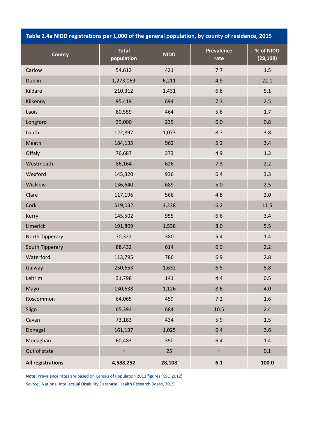**Table 2.4a NIDD registrations per 1,000 of the general population, by county of residence, 2015**

| <b>County</b>            | <b>Total</b><br>population | <b>NIDD</b> | <b>Prevalence</b><br>rate | % of NIDD<br>(28, 108) |
|--------------------------|----------------------------|-------------|---------------------------|------------------------|
| Carlow                   | 54,612                     | 421         | 7.7                       | 1.5                    |
| <b>Dublin</b>            | 1,273,069                  | 6,211       | 4.9                       | 22.1                   |
| Kildare                  | 210,312                    | 1,431       | 6.8                       | 5.1                    |
| Kilkenny                 | 95,419                     | 694         | 7.3                       | 2.5                    |
| Laois                    | 80,559                     | 464         | 5.8                       | 1.7                    |
| Longford                 | 39,000                     | 235         | 6.0                       | 0.8                    |
| Louth                    | 122,897                    | 1,073       | 8.7                       | 3.8                    |
| Meath                    | 184,135                    | 962         | 5.2                       | 3.4                    |
| Offaly                   | 76,687                     | 373         | 4.9                       | 1.3                    |
| Westmeath                | 86,164                     | 626         | 7.3                       | 2.2                    |
| Wexford                  | 145,320                    | 936         | 6.4                       | 3.3                    |
| Wicklow                  | 136,640                    | 689         | 5.0                       | 2.5                    |
| Clare                    | 117,196                    | 566         | 4.8                       | 2.0                    |
| Cork                     | 519,032                    | 3,238       | 6.2                       | 11.5                   |
| Kerry                    | 145,502                    | 955         | 6.6                       | 3.4                    |
| Limerick                 | 191,809                    | 1,538       | 8.0                       | 5.5                    |
| North Tipperary          | 70,322                     | 380         | 5.4                       | 1.4                    |
| South Tipperary          | 88,432                     | 614         | 6.9                       | 2.2                    |
| Waterford                | 113,795                    | 786         | 6.9                       | 2.8                    |
| Galway                   | 250,653                    | 1,632       | 6.5                       | 5.8                    |
| Leitrim                  | 31,798                     | 141         | 4.4                       | 0.5                    |
| Mayo                     | 130,638                    | 1,126       | 8.6                       | 4.0                    |
| Roscommon                | 64,065                     | 459         | $7.2$                     | $1.6\phantom{0}$       |
| Sligo                    | 65,393                     | 684         | 10.5                      | 2.4                    |
| Cavan                    | 73,183                     | 434         | 5.9                       | 1.5                    |
| Donegal                  | 161,137                    | 1,025       | 6.4                       | 3.6                    |
| Monaghan                 | 60,483                     | 390         | 6.4                       | $1.4\,$                |
| Out of state             | ÷,                         | 25          | $\blacksquare$            | 0.1                    |
| <b>All registrations</b> | 4,588,252                  | 28,108      | 6.1                       | 100.0                  |

**Note:** Prevalence rates are based on Census of Population 2011 figures (CSO 2012)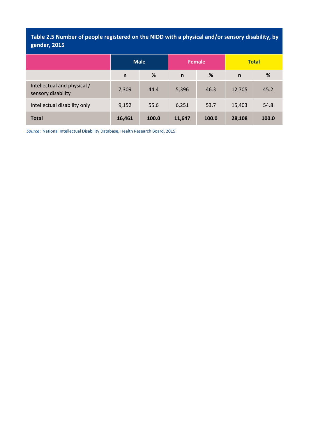**Table 2.5 Number of people registered on the NIDD with a physical and/or sensory disability, by gender, 2015**

|                                                   |              | <b>Male</b> |              | <b>Female</b> | <b>Total</b> |       |  |  |
|---------------------------------------------------|--------------|-------------|--------------|---------------|--------------|-------|--|--|
|                                                   | $\mathsf{n}$ | %           | $\mathsf{n}$ | %             | $\mathsf{n}$ | %     |  |  |
| Intellectual and physical /<br>sensory disability | 7,309        | 44.4        | 5,396        | 46.3          | 12,705       | 45.2  |  |  |
| Intellectual disability only                      | 9,152        | 55.6        | 6,251        | 53.7          | 15,403       | 54.8  |  |  |
| <b>Total</b>                                      | 16,461       | 100.0       | 11,647       | 100.0         | 28,108       | 100.0 |  |  |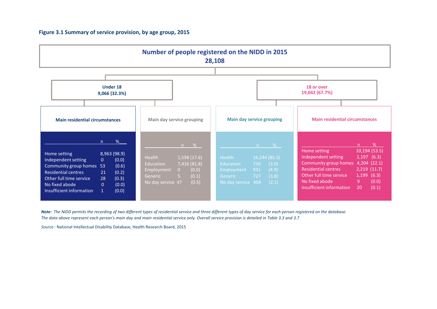### **Figure 3.1 Summary of service provision, by age group, 2015**



Note: The NIDD permits the recording of two different types of residential service and three different types of day service for each person registered on the database. The data above represent each person's main day and main residential service only. Overall service provision is detailed in Table 3.3 and 3.7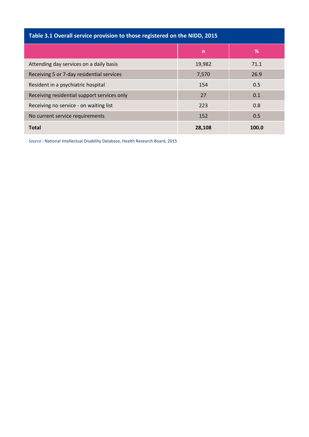| Table 3.1 Overall service provision to those registered on the NIDD, 2015 |        |       |  |  |  |  |  |  |  |  |  |
|---------------------------------------------------------------------------|--------|-------|--|--|--|--|--|--|--|--|--|
|                                                                           | n      | %     |  |  |  |  |  |  |  |  |  |
| Attending day services on a daily basis                                   | 19,982 | 71.1  |  |  |  |  |  |  |  |  |  |
| Receiving 5 or 7-day residential services                                 | 7,570  | 26.9  |  |  |  |  |  |  |  |  |  |
| Resident in a psychiatric hospital                                        | 154    | 0.5   |  |  |  |  |  |  |  |  |  |
| Receiving residential support services only                               | 27     | 0.1   |  |  |  |  |  |  |  |  |  |
| Receiving no service - on waiting list                                    | 223    | 0.8   |  |  |  |  |  |  |  |  |  |
| No current service requirements                                           | 152    | 0.5   |  |  |  |  |  |  |  |  |  |
| <b>Total</b>                                                              | 28.108 | 100.0 |  |  |  |  |  |  |  |  |  |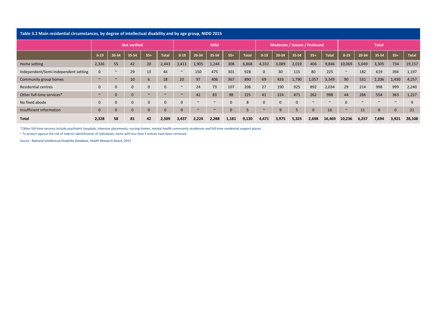| Table 3.2 Main residential circumstances, by degree of intellectual disability and by age group, NIDD 2015 |              |                |                     |              |              |              |             |        |              |       |                              |          |          |        |              |          |        |        |          |              |
|------------------------------------------------------------------------------------------------------------|--------------|----------------|---------------------|--------------|--------------|--------------|-------------|--------|--------------|-------|------------------------------|----------|----------|--------|--------------|----------|--------|--------|----------|--------------|
|                                                                                                            |              |                | <b>Not verified</b> |              |              |              | <b>Mild</b> |        |              |       | Moderate / Severe / Profound |          |          |        | <b>Total</b> |          |        |        |          |              |
|                                                                                                            | $0 - 19$     | 20-34          | 35-54               | $55+$        | <b>Total</b> | $0 - 19$     | 20-34       | 35-54  | $55+$        | Total | $0 - 19$                     | 20-34    | 35-54    | $55+$  | Total        | $0 - 19$ | 20-34  | 35-54  | $55+$    | <b>Total</b> |
| Home setting                                                                                               | 2,326        | 55             | 42                  | 20           | 2,443        | 3,411        | 1,905       | 1,244  | 308          | 6,868 | 4,332                        | 3,089    | 2,019    | 406    | 9,846        | 10,069   | 5,049  | 3,305  | 734      | 19,157       |
| Independent/Semi-independent setting                                                                       | $\mathbf{0}$ | $\sim$         | 29                  | 13           | 44           | $\sim$       | 150         | 475    | 301          | 928   | $\mathbf{0}$                 | 30       | 115      | 80     | 225          | $\sim$   | 182    | 619    | 394      | 1,197        |
| Community group homes                                                                                      | $\sim$       | $\sim$         | 10                  | 6            | 18           | 20           | 97          | 406    | 367          | 890   | 69                           | 433      | 1,790    | 1,057  | 3,349        | 90       | 531    | 2,206  | 1,430    | 4,257        |
| Residential centres                                                                                        | $\mathbf{0}$ | $\mathbf{0}$   | $\mathbf{0}$        | $\mathbf{0}$ | $\Omega$     | $\sim$       | 24          | 73     | 107          | 206   | 27                           | 190      | 925      | 892    | 2,034        | 29       | 214    | 998    | 999      | 2,240        |
| Other full-time services*                                                                                  | $\sim$       | $\overline{0}$ | $\Omega$            | $\sim$       | $\sim$       | $\sim$       | 42          | 83     | 98           | 225   | 41                           | 224      | 471      | 262    | 998          | 44       | 266    | 554    | 363      | 1,227        |
| No fixed abode                                                                                             | $\mathbf{0}$ | $\mathbf{0}$   | $\mathbf{0}$        | $\mathbf{0}$ | $\Omega$     | $\mathbf{0}$ | $\sim$      | $\sim$ | $\mathbf{0}$ | 8     | $\overline{0}$               |          | $\Omega$ | $\sim$ | $\sim$       |          | $\sim$ | $\sim$ | $\sim$   | q            |
| Insufficient information                                                                                   | $\Omega$     | $\overline{0}$ |                     | $\mathbf{0}$ |              | $\mathbf{0}$ | $\sim$      | $\sim$ | $\mathbf 0$  |       | $\sim$                       | <b>g</b> |          |        | 16           | $\sim$   | 11     | 8      | $\Omega$ | 21           |
| <b>Total</b>                                                                                               | 2,328        | 58             | 81                  | 42           | 2.509        | 3,437        | 2,224       | 2,288  | 1,181        | 9,130 | 4,471                        | 3,975    | 5,325    | 2,698  | 16,469       | 10,236   | 6,257  | 7,694  | 3,921    | 28,108       |

*\** Other full‐time services include psychiatric hospitals, intensive placements, nursing homes, mental health community residences and full‐time residential support places.

~ To protect against the risk of indirect identification of individuals, items with less than 5 entries have been removed.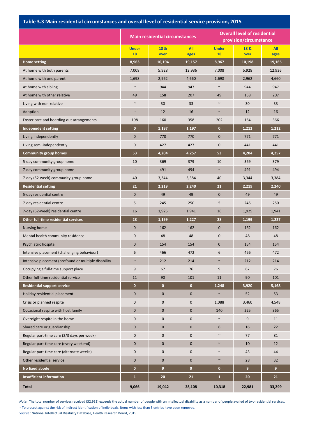### **Table 3.3 Main residential circumstances and overall level of residential service provision, 2015**

|                                                      |                           | <b>Main residential circumstances</b> |              | <b>Overall level of residential</b><br>provision/circumstance |              |             |  |  |
|------------------------------------------------------|---------------------------|---------------------------------------|--------------|---------------------------------------------------------------|--------------|-------------|--|--|
|                                                      | <b>Under</b><br><b>18</b> | 18 &<br>over                          | All<br>ages  | <b>Under</b><br>18                                            | 18 &<br>over | All<br>ages |  |  |
| <b>Home setting</b>                                  | 8,963                     | 10,194                                | 19,157       | 8,967                                                         | 10,198       | 19,165      |  |  |
| At home with both parents                            | 7,008                     | 5,928                                 | 12,936       | 7,008                                                         | 5,928        | 12,936      |  |  |
| At home with one parent                              | 1,698                     | 2,962                                 | 4,660        | 1,698                                                         | 2,962        | 4,660       |  |  |
| At home with sibling                                 | $\sim$                    | 944                                   | 947          | $\sim$                                                        | 944          | 947         |  |  |
| At home with other relative                          | 49                        | 158                                   | 207          | 49                                                            | 158          | 207         |  |  |
| Living with non-relative                             |                           | 30                                    | 33           | $\sim$                                                        | 30           | 33          |  |  |
| Adoption                                             | $\sim$                    | 12                                    | 16           | $\sim$                                                        | 12           | 16          |  |  |
| Foster care and boarding out arrangements            | 198                       | 160                                   | 358          | 202                                                           | 164          | 366         |  |  |
| <b>Independent setting</b>                           | $\mathbf{0}$              | 1,197                                 | 1,197        | $\mathbf{0}$                                                  | 1,212        | 1,212       |  |  |
| Living independently                                 | $\mathbf 0$               | 770                                   | 770          | $\mathbf 0$                                                   | 771          | 771         |  |  |
| Living semi-independently                            | 0                         | 427                                   | 427          | $\mathbf 0$                                                   | 441          | 441         |  |  |
| <b>Community group homes</b>                         | 53                        | 4,204                                 | 4,257        | 53                                                            | 4,204        | 4,257       |  |  |
| 5-day community group home                           | 10                        | 369                                   | 379          | 10                                                            | 369          | 379         |  |  |
| 7-day community group home                           | $\sim$                    | 491                                   | 494          | $\sim$                                                        | 491          | 494         |  |  |
| 7-day (52-week) community group home                 | 40                        | 3,344                                 | 3,384        | 40                                                            | 3,344        | 3,384       |  |  |
| <b>Residential setting</b>                           | 21                        | 2,219                                 | 2,240        | 21                                                            | 2,219        | 2,240       |  |  |
| 5-day residential centre                             | $\mathbf{0}$              | 49                                    | 49           | $\mathbf 0$                                                   | 49           | 49          |  |  |
| 7-day residential centre                             | 5                         | 245                                   | 250          | 5                                                             | 245          | 250         |  |  |
| 7-day (52-week) residential centre                   | 16                        | 1,925                                 | 1,941        | 16                                                            | 1,925        | 1,941       |  |  |
| Other full-time residential services                 | 28                        | 1,199                                 | 1,227        | 28                                                            | 1,199        | 1,227       |  |  |
| Nursing home                                         | $\mathbf{0}$              | 162                                   | 162          | $\mathbf{0}$                                                  | 162          | 162         |  |  |
| Mental health community residence                    | 0                         | 48                                    | 48           | $\pmb{0}$                                                     | 48           | 48          |  |  |
| Psychiatric hospital                                 | $\mathbf 0$               | 154                                   | 154          | $\mathbf 0$                                                   | 154          | 154         |  |  |
| Intensive placement (challenging behaviour)          | 6                         | 466                                   | 472          | 6                                                             | 466          | 472         |  |  |
| Intensive placement (profound or multiple disability | $\sim$                    | 212                                   | 214          | $\sim$                                                        | 212          | 214         |  |  |
| Occupying a full-time support place                  | 9                         | 67                                    | 76           | 9                                                             | 67           | 76          |  |  |
| Other full-time residential service                  | $11\,$                    | 90                                    | 101          | $11\,$                                                        | 90           | 101         |  |  |
| <b>Residential support service</b>                   | $\mathbf{0}$              | $\mathbf 0$                           | $\mathbf{0}$ | 1,248                                                         | 3,920        | 5,168       |  |  |
| Holiday residential placement                        | $\mathbf 0$               | $\mathbf{0}$                          | $\mathbf 0$  | $\sim$                                                        | 52           | 53          |  |  |
| Crisis or planned respite                            | 0                         | $\mathbf 0$                           | $\pmb{0}$    | 1,088                                                         | 3,460        | 4,548       |  |  |
| Occasional respite with host family                  | $\mathbf{0}$              | $\pmb{0}$                             | $\pmb{0}$    | 140                                                           | 225          | 365         |  |  |
| Overnight respite in the home                        | 0                         | $\mathbf 0$                           | $\mathbf 0$  | $\sim$                                                        | 9            | 11          |  |  |
| Shared care or guardianship                          | $\mathbf 0$               | $\mathbf 0$                           | $\mathbf 0$  | $\boldsymbol{6}$                                              | 16           | 22          |  |  |
| Regular part-time care (2/3 days per week)           | 0                         | $\mathbf 0$                           | $\mathbf 0$  | $\sim$                                                        | 77           | 81          |  |  |
| Regular part-time care (every weekend)               | $\mathbf{0}$              | $\mathbf{0}$                          | $\mathbf{0}$ | $\sim$                                                        | 10           | 12          |  |  |
| Regular part-time care (alternate weeks)             | 0                         | $\pmb{0}$                             | $\pmb{0}$    | $\sim$                                                        | 43           | 44          |  |  |
| Other residential service                            | $\mathbf{0}$              | $\mathbf 0$                           | $\pmb{0}$    | $\sim$                                                        | 28           | 32          |  |  |
| No fixed abode                                       | $\mathbf{0}$              | $\boldsymbol{9}$                      | 9            | $\bullet$                                                     | $9$          | $9$         |  |  |
| <b>Insufficient information</b>                      | $\mathbf{1}$              | 20                                    | 21           | $\mathbf{1}$                                                  | 20           | 21          |  |  |
| <b>Total</b>                                         | 9,066                     | 19,042                                | 28,108       | 10,318                                                        | 22,981       | 33,299      |  |  |

~ To protect against the risk of indirect identification of individuals, items with less than 5 entries have been removed. *Note:* The total number of services received (32,933) exceeds the actual number of people with an intellectual disability as a number of people availed of two residential services.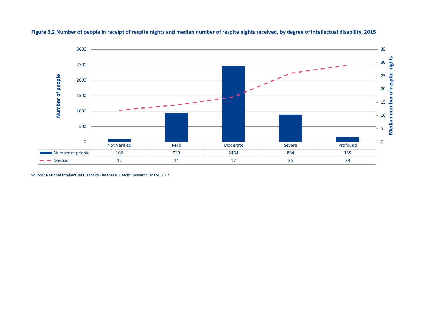

### Figure 3.2 Number of people in receipt of respite nights and median number of respite nights received, by degree of intellectual disability, 2015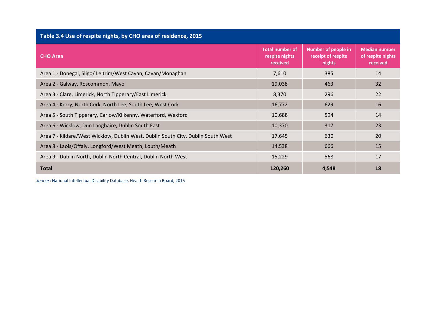| Table 3.4 Use of respite nights, by CHO area of residence, 2015                  |                                                      |                                                            |                                                       |
|----------------------------------------------------------------------------------|------------------------------------------------------|------------------------------------------------------------|-------------------------------------------------------|
| <b>CHO Area</b>                                                                  | <b>Total number of</b><br>respite nights<br>received | <b>Number of people in</b><br>receipt of respite<br>nights | <b>Median number</b><br>of respite nights<br>received |
| Area 1 - Donegal, Sligo/ Leitrim/West Cavan, Cavan/Monaghan                      | 7,610                                                | 385                                                        | 14                                                    |
| Area 2 - Galway, Roscommon, Mayo                                                 | 19,038                                               | 463                                                        | 32                                                    |
| Area 3 - Clare, Limerick, North Tipperary/East Limerick                          | 8,370                                                | 296                                                        | 22                                                    |
| Area 4 - Kerry, North Cork, North Lee, South Lee, West Cork                      | 16,772                                               | 629                                                        | 16                                                    |
| Area 5 - South Tipperary, Carlow/Kilkenny, Waterford, Wexford                    | 10,688                                               | 594                                                        | 14                                                    |
| Area 6 - Wicklow, Dun Laoghaire, Dublin South East                               | 10,370                                               | 317                                                        | 23                                                    |
| Area 7 - Kildare/West Wicklow, Dublin West, Dublin South City, Dublin South West | 17,645                                               | 630                                                        | 20                                                    |
| Area 8 - Laois/Offaly, Longford/West Meath, Louth/Meath                          | 14,538                                               | 666                                                        | 15                                                    |
| Area 9 - Dublin North, Dublin North Central, Dublin North West                   | 15,229                                               | 568                                                        | 17                                                    |
| <b>Total</b>                                                                     | 120,260                                              | 4,548                                                      | 18                                                    |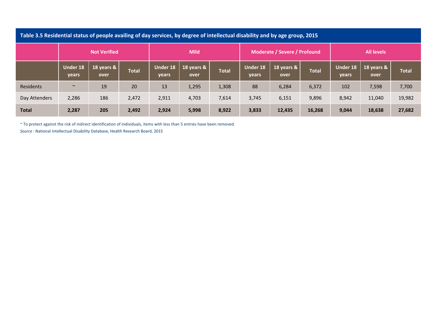|               | Table 3.5 Residential status of people availing of day services, by degree of intellectual disability and by age group, 2015 |                     |              |                   |                    |              |                          |                              |              |                          |                    |              |  |  |  |
|---------------|------------------------------------------------------------------------------------------------------------------------------|---------------------|--------------|-------------------|--------------------|--------------|--------------------------|------------------------------|--------------|--------------------------|--------------------|--------------|--|--|--|
|               |                                                                                                                              | <b>Not Verified</b> |              |                   | <b>Mild</b>        |              |                          | Moderate / Severe / Profound |              | <b>All levels</b>        |                    |              |  |  |  |
|               | <b>Under 18</b><br>years                                                                                                     | 18 years &<br>over  | <b>Total</b> | Under 18<br>years | 18 years &<br>over | <b>Total</b> | <b>Under 18</b><br>years | 18 years &<br>over           | <b>Total</b> | <b>Under 18</b><br>years | 18 years &<br>over | <b>Total</b> |  |  |  |
| Residents     | $\sim$                                                                                                                       | 19                  | 20           | 13                | 1,295              | 1,308        | 88                       | 6,284                        | 6,372        | 102                      | 7,598              | 7,700        |  |  |  |
| Day Attenders | 2,286                                                                                                                        | 186                 | 2,472        | 2,911             | 4,703              | 7,614        | 3,745                    | 6,151                        | 9,896        | 8,942                    | 11,040             | 19,982       |  |  |  |
| <b>Total</b>  | 2,287                                                                                                                        | 205                 | 2,492        | 2,924             | 5,998              | 8,922        | 3,833                    | 12,435                       | 16,268       | 9,044                    | 18,638             | 27,682       |  |  |  |

~ To protect against the risk of indirect identification of individuals, items with less than 5 entries have been removed.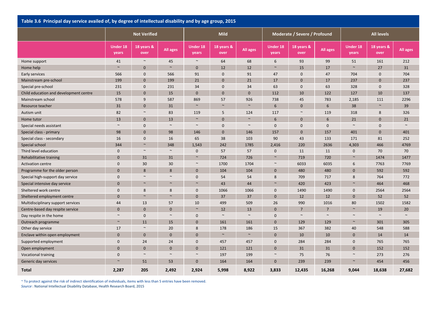| Table 3.6 Principal day service availed of, by degree of intellectual disability and by age group, 2015 |                          |                     |             |                          |                    |              |                          |                              |                 |                          |                    |          |
|---------------------------------------------------------------------------------------------------------|--------------------------|---------------------|-------------|--------------------------|--------------------|--------------|--------------------------|------------------------------|-----------------|--------------------------|--------------------|----------|
|                                                                                                         |                          | <b>Not Verified</b> |             |                          | <b>Mild</b>        |              |                          | Moderate / Severe / Profound |                 |                          | <b>All levels</b>  |          |
|                                                                                                         | <b>Under 18</b><br>years | 18 years &<br>over  | All ages    | <b>Under 18</b><br>years | 18 years &<br>over | All ages     | <b>Under 18</b><br>years | 18 years &<br>over           | <b>All ages</b> | <b>Under 18</b><br>years | 18 years &<br>over | All ages |
| Home support                                                                                            | 41                       | $\sim$              | 45          | $\sim$                   | 64                 | 68           | 6                        | 93                           | 99              | 51                       | 161                | 212      |
| Home help                                                                                               | $\sim$                   | $\overline{0}$      | $\sim$      | $\mathbf{0}$             | 12                 | 12           | $\sim$                   | 15                           | 17              | $\sim$                   | 27                 | 31       |
| Early services                                                                                          | 566                      | $\mathbf 0$         | 566         | 91                       | $\mathbf{0}$       | 91           | 47                       | $\mathbf{0}$                 | 47              | 704                      | $\mathbf 0$        | 704      |
| Mainstream pre-school                                                                                   | 199                      | $\overline{0}$      | 199         | 21                       | $\mathbf{0}$       | 21           | 17                       | $\mathbf{0}$                 | 17              | 237                      | $\overline{0}$     | 237      |
| Special pre-school                                                                                      | 231                      | $\mathbf 0$         | 231         | 34                       | $\mathbf{0}$       | 34           | 63                       | $\mathbf 0$                  | 63              | 328                      | $\mathbf{0}$       | 328      |
| Child education and development centre                                                                  | 15                       | $\overline{0}$      | 15          | $\overline{0}$           | $\mathbf{0}$       | $\mathbf{0}$ | 112                      | 10                           | 122             | 127                      | 10                 | 137      |
| Mainstream school                                                                                       | 578                      | 9                   | 587         | 869                      | 57                 | 926          | 738                      | 45                           | 783             | 2,185                    | 111                | 2296     |
| Resource teacher                                                                                        | 31                       | $\mathbf 0$         | 31          | $\sim$                   | $\sim$             | $\sim$       | 6                        | $\mathbf{0}$                 | 6               | 38                       | $\sim$             | 39       |
| Autism unit                                                                                             | 82                       | $\sim$              | 83          | 119                      | 5                  | 124          | 117                      | $\sim$                       | 119             | 318                      | 8                  | 326      |
| Home tutor                                                                                              | 13                       | $\mathbf 0$         | 13          | $\sim$                   | $\mathbf{0}$       | $\sim$       | 6                        | $\mathbf{0}$                 | 6               | 21                       | $\mathbf{0}$       | 21       |
| Special needs assistant                                                                                 | $\sim$                   | $\mathbf 0$         | $\sim$      | $\sim$                   | $\mathbf 0$        | $\sim$       | $\mathbf{0}$             | $\mathbf 0$                  | $\mathbf 0$     | $\sim$                   | $\mathbf 0$        | $\sim$   |
| Special class - primary                                                                                 | 98                       | $\overline{0}$      | 98          | 146                      | $\mathbf{0}$       | 146          | 157                      | $\mathbf{0}$                 | 157             | 401                      | $\mathbf{0}$       | 401      |
| Special class - secondary                                                                               | 16                       | $\mathbf 0$         | 16          | 65                       | 38                 | 103          | 90                       | 43                           | 133             | 171                      | 81                 | 252      |
| Special school                                                                                          | 344                      | $\sim$              | 348         | 1,543                    | 242                | 1785         | 2,416                    | 220                          | 2636            | 4,303                    | 466                | 4769     |
| Third level education                                                                                   | $\mathbf 0$              | $\sim$              | $\sim$      | $\mathbf{0}$             | 57                 | 57           | $\mathbf 0$              | 11                           | 11              | $\mathbf 0$              | 70                 | 70       |
| Rehabilitative training                                                                                 | $\mathbf{0}$             | 31                  | 31          | $\sim$                   | 724                | 726          | $\sim$                   | 719                          | 720             | $\sim$                   | 1474               | 1477     |
| <b>Activation centre</b>                                                                                | $\mathbf 0$              | 30                  | 30          | $\sim$                   | 1700               | 1704         | $\sim$                   | 6033                         | 6035            | $\sqrt{6}$               | 7763               | 7769     |
| Programme for the older person                                                                          | $\mathbf{0}$             | 8                   | 8           | $\mathbf{0}$             | 104                | 104          | $\mathbf{0}$             | 480                          | 480             | $\mathbf 0$              | 592                | 592      |
| Special high-support day service                                                                        | $\mathbf 0$              | $\sim$              | $\sim$      | $\mathbf 0$              | 54                 | 54           | 8                        | 709                          | 717             | 8                        | 764                | 772      |
| Special intensive day service                                                                           | $\mathbf{0}$             | $\sim$              | $\sim$      | $\sim$                   | 43                 | 44           | $\sim$                   | 420                          | 423             | $\sim$                   | 464                | 468      |
| Sheltered work centre                                                                                   | $\Omega$                 | 8                   | 8           | $\mathbf 0$              | 1066               | 1066         | $\pmb{0}$                | 1490                         | 1490            | $\boldsymbol{0}$         | 2564               | 2564     |
| Sheltered employment centre                                                                             | $\mathbf{0}$             | $\sim$              | $\sim$      | $\mathbf{0}$             | 37                 | 37           | $\mathbf 0$              | 12                           | 12              | $\mathbf 0$              | 52                 | 52       |
| Multidisciplinary support services                                                                      | 44                       | 13                  | 57          | 10                       | 499                | 509          | 26                       | 990                          | 1016            | 80                       | 1502               | 1582     |
| Centre-based day respite service                                                                        | $\mathbf{0}$             | $\mathbf 0$         | $\mathbf 0$ | $\sim$                   | 12                 | 13           | $\mathbf{0}$             | $\overline{7}$               | 7               | $\sim$                   | 19                 | 20       |
| Day respite in the home                                                                                 | $\sim$                   | $\mathbf 0$         | $\sim$      | $\mathbf 0$              | $\sim$             | $\sim$       | $\mathbf 0$              | $\sim$                       | $\sim$          | $\sim$                   | $\sim$             | $\sim$   |
| Outreach programme                                                                                      | $\sim$                   | 11                  | 15          | $\mathbf{0}$             | 161                | 161          | $\mathbf{0}$             | 129                          | 129             | $\sim$                   | 301                | 305      |
| Other day service                                                                                       | 17                       | $\sim$              | 20          | 8                        | 178                | 186          | 15                       | 367                          | 382             | 40                       | 548                | 588      |
| Enclave within open employment                                                                          | $\mathbf 0$              | $\overline{0}$      | $\mathbf 0$ | $\mathbf{0}$             | $\sim$             | $\sim$       | $\overline{0}$           | 10                           | 10              | $\mathbf 0$              | 14                 | 14       |
| Supported employment                                                                                    | $\mathbf 0$              | 24                  | 24          | $\mathbf 0$              | 457                | 457          | $\pmb{0}$                | 284                          | 284             | $\boldsymbol{0}$         | 765                | 765      |
| Open employment                                                                                         | $\mathbf{0}$             | $\mathbf 0$         | $\mathbf 0$ | $\mathbf{0}$             | 121                | 121          | $\pmb{0}$                | 31                           | 31              | $\mathbf 0$              | 152                | 152      |
| <b>Vocational training</b>                                                                              | $\mathbf 0$              | $\sim$              | $\sim$      | $\sim$                   | 197                | 199          | $\sim$                   | 75                           | 76              | $\sim$                   | 273                | 276      |
| Generic day services                                                                                    | $\sim$                   | 51                  | 53          | $\overline{0}$           | 164                | 164          | $\mathbf{0}$             | 239                          | 239             | $\sim$                   | 454                | 456      |
| <b>Total</b>                                                                                            | 2,287                    | 205                 | 2,492       | 2,924                    | 5,998              | 8,922        | 3,833                    | 12,435                       | 16,268          | 9,044                    | 18,638             | 27,682   |

~ To protect against the risk of indirect identification of individuals, items with less than 5 entries have been removed.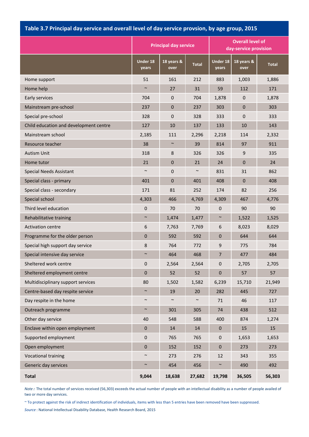## **Table 3.7 Principal day service and overall level of day service provsion, by age group, 2015**

|                                        |                   | <b>Principal day service</b> |              | <b>Overall level of</b><br>day-service provision |                    |              |  |  |
|----------------------------------------|-------------------|------------------------------|--------------|--------------------------------------------------|--------------------|--------------|--|--|
|                                        | Under 18<br>years | 18 years &<br>over           | <b>Total</b> | <b>Under 18</b><br>years                         | 18 years &<br>over | <b>Total</b> |  |  |
| Home support                           | 51                | 161                          | 212          | 883                                              | 1,003              | 1,886        |  |  |
| Home help                              | $\sim$            | 27                           | 31           | 59                                               | 112                | 171          |  |  |
| Early services                         | 704               | $\pmb{0}$                    | 704          | 1,878                                            | $\pmb{0}$          | 1,878        |  |  |
| Mainstream pre-school                  | 237               | $\pmb{0}$                    | 237          | 303                                              | $\pmb{0}$          | 303          |  |  |
| Special pre-school                     | 328               | 0                            | 328          | 333                                              | 0                  | 333          |  |  |
| Child education and development centre | 127               | 10                           | 137          | 133                                              | 10                 | 143          |  |  |
| Mainstream school                      | 2,185             | 111                          | 2,296        | 2,218                                            | 114                | 2,332        |  |  |
| Resource teacher                       | 38                | $\sim$                       | 39           | 814                                              | 97                 | 911          |  |  |
| <b>Autism Unit</b>                     | 318               | 8                            | 326          | 326                                              | 9                  | 335          |  |  |
| Home tutor                             | 21                | $\pmb{0}$                    | 21           | 24                                               | $\mathbf 0$        | 24           |  |  |
| <b>Special Needs Assistant</b>         | $\sim$            | $\pmb{0}$                    | $\sim$       | 831                                              | 31                 | 862          |  |  |
| Special class - primary                | 401               | $\pmb{0}$                    | 401          | 408                                              | $\pmb{0}$          | 408          |  |  |
| Special class - secondary              | 171               | 81                           | 252          | 174                                              | 82                 | 256          |  |  |
| Special school                         | 4,303             | 466                          | 4,769        | 4,309                                            | 467                | 4,776        |  |  |
| Third level education                  | $\mathbf 0$       | 70                           | 70           | $\mathbf 0$                                      | 90                 | 90           |  |  |
| Rehabilitative training                | $\sim$            | 1,474                        | 1,477        | $\sim$                                           | 1,522              | 1,525        |  |  |
| <b>Activation centre</b>               | 6                 | 7,763                        | 7,769        | 6                                                | 8,023              | 8,029        |  |  |
| Programme for the older person         | $\overline{0}$    | 592                          | 592          | $\overline{0}$                                   | 644                | 644          |  |  |
| Special high support day service       | 8                 | 764                          | 772          | 9                                                | 775                | 784          |  |  |
| Special intensive day service          | $\sim$            | 464                          | 468          | $\overline{7}$                                   | 477                | 484          |  |  |
| Sheltered work centre                  | $\mathbf 0$       | 2,564                        | 2,564        | 0                                                | 2,705              | 2,705        |  |  |
| Sheltered employment centre            | $\mathbf{0}$      | 52                           | 52           | $\pmb{0}$                                        | 57                 | 57           |  |  |
| Multidisciplinary support services     | 80                | 1,502                        | 1,582        | 6,239                                            | 15,710             | 21,949       |  |  |
| Centre-based day respite service       | $\sim$            | 19                           | 20           | 282                                              | 445                | 727          |  |  |
| Day respite in the home                | $\sim$            | $\sim$                       | $\sim$       | $71\,$                                           | 46                 | 117          |  |  |
| Outreach programme                     | $\sim$            | 301                          | 305          | 74                                               | 438                | 512          |  |  |
| Other day service                      | 40                | 548                          | 588          | 400                                              | 874                | 1,274        |  |  |
| Enclave within open employment         | $\pmb{0}$         | 14                           | 14           | $\pmb{0}$                                        | 15                 | 15           |  |  |
| Supported employment                   | $\pmb{0}$         | 765                          | 765          | $\pmb{0}$                                        | 1,653              | 1,653        |  |  |
| Open employment                        | $\pmb{0}$         | 152                          | 152          | $\pmb{0}$                                        | 273                | 273          |  |  |
| <b>Vocational training</b>             | $\sim$            | 273                          | 276          | 12                                               | 343                | 355          |  |  |
| Generic day services                   | $\sim$            | 454                          | 456          | $\sim$                                           | 490                | 492          |  |  |
| <b>Total</b>                           | 9,044             | 18,638                       | 27,682       | 19,798                                           | 36,505             | 56,303       |  |  |

*Note :* The total number of services received (56,303) exceeds the actual number of people with an intellectual disability as a number of people availed of two or more day services.

~ To protect against the risk of indirect identification of individuals, items with less than 5 entries have been removed have been suppressed.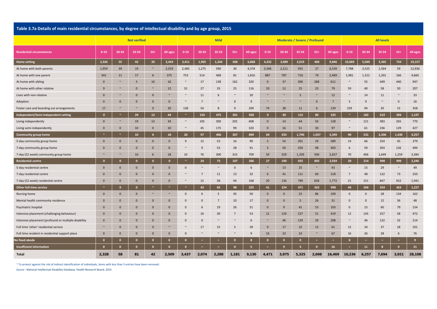|  | Table 3.7a Details of main residential circumstances, by degree of intellectual disability and by age group, 2015 |  |  |  |  |
|--|-------------------------------------------------------------------------------------------------------------------|--|--|--|--|
|--|-------------------------------------------------------------------------------------------------------------------|--|--|--|--|

|                                                      | <b>Not verified</b> |              |              |              | <b>Mild</b>  |                       |                |        | <b>Moderate / Severe / Profound</b> |          |                 |              |              | <b>All levels</b> |          |                 |                     |                  |              |          |
|------------------------------------------------------|---------------------|--------------|--------------|--------------|--------------|-----------------------|----------------|--------|-------------------------------------|----------|-----------------|--------------|--------------|-------------------|----------|-----------------|---------------------|------------------|--------------|----------|
| <b>Residential circumstances</b>                     | $0 - 19$            | 20-34        | 35-54        | $55+$        | All ages     | $0 - 19$              | 20-34          | 35-54  | $55+$                               | All ages | $0 - 19$        | 20-34        | 35-54        | $55+$             | All ages | $0 - 19$        | 20-34               | 35-54            | $55+$        | All ages |
| Home setting                                         | 2,326               | 55           | 42           | 20           | 2,443        | 3,411                 | 1,905          | 1,244  | 308                                 | 6,868    | 4,332           | 3,089        | 2,019        | 406               | 9,846    | 10,069          | 5,049               | 3,305            | 734          | 19,157   |
| At home with both parents                            | 1,959               | 39           | 19           | $\sim$       | 2,019        | 2,483                 | 1,275          | 590    | 30                                  | 4,378    | 3,346           | 2,211        | 955          | 27                | 6,539    | 7,788           | 3,525               | 1,564            | 59           | 12,936   |
| At home with one parent                              | 341                 | 11           | 17           | 6            | 375          | 753                   | 514            | 468    | 81                                  | 1,816    | 887             | 787          | 716          | 79                | 2,469    | 1,981           | 1,312               | 1,201            | 166          | 4,660    |
| At home with sibling                                 | $\mathbf{0}$        | $\sim$       | 5            | 10           | 16           | $\sim$                | 17             | 138    | 162                                 | 320      | $\mathbf{0}$    | 37           | 306          | 268               | 611      | $\sim$          | 55                  | 449              | 440          | 947      |
| At home with other relative                          | 9                   | $\sim$       | $\mathbf 0$  | $\sim$       | 12           | 31                    | 27             | 33     | 25                                  | 116      | 19              | 12           | 25           | 23                | 79       | 59              | 40                  | 58               | 50           | 207      |
| Lives with non-relative                              | $\mathbf{0}$        | $\sim$       | $\mathbf{0}$ | $\mathbf{0}$ | $\sim$       | $\sim$                | 11             | 6      | $\sim$                              | 20       | $\sim$          | $\sim$       | 5            | $\sim$            | 12       | $\sim$          | 14                  | 11               | $\sim$       | 33       |
| Adoption                                             | $\mathbf{0}$        | $\mathbf{0}$ | $\mathbf{0}$ | $\mathbf{0}$ | $\mathbf{0}$ | $\sim$                | $\overline{7}$ | $\sim$ | $\mathbf{0}$                        | 9        | $\sim$          | $\sim$       | $\sim$       | $\mathbf{0}$      | 7        | 5               | 9                   | $\sim$           | $\mathbf{0}$ | 16       |
| Foster care and boarding out arrangements            | 17                  | $\sim$       | $\sim$       | $\mathbf{0}$ | 20           | 138                   | 54             | 8      | 9                                   | 209      | 74              | 38           | 11           | 6                 | 129      | 229             | 94                  | 20               | 15           | 358      |
| Independent/Semi-independent setting                 | $\mathbf{0}$        | $\sim$       | 29           | 13           | 44           | $\sim$                | 150            | 475    | 301                                 | 928      | $\bullet$       | 30           | 115          | 80                | 225      | $\sim$          | 182                 | 619              | 394          | 1,197    |
| Living independently                                 | $\mathbf{0}$        | $\sim$       | 19           | 13           | 34           | $\sim$                | 105            | 300    | 202                                 | 608      | $\mathbf{0}$    | 14           | 64           | 50                | 128      | $\sim$          | 121                 | 383              | 265          | 770      |
| Living semi-independently                            | $\mathbf 0$         | $\mathbf 0$  | 10           | $\bf{0}$     | 10           | $\sim$                | 45             | 175    | 99                                  | 320      | $\mathbf 0$     | 16           | 51           | 30                | 97       | $\sim$          | 61                  | 236              | 129          | 427      |
| <b>Community group home</b>                          | $\sim$              | $\sim$       | 10           | 6            | 18           | 20                    | 97             | 406    | 367                                 | 890      | 69              | 433          | 1,790        | 1,057             | 3,349    | 90              | 531                 | 2,206            | 1,430        | 4,257    |
| 5-day community group home                           | $\mathbf 0$         | $\mathbf{0}$ | $\bf{0}$     | $\mathbf{0}$ | $\mathbf 0$  | 9                     | 12             | 53     | 16                                  | 90       | $5\phantom{.0}$ | 54           | 201          | 29                | 289      | 14              | 66                  | 254              | 45           | 379      |
| 7-day community group home                           | $\Omega$            | $\mathbf{0}$ | $\mathbf{0}$ | $\mathbf{0}$ | $\mathbf{0}$ | $\sim$                | 9              | 53     | 28                                  | 91       | 5               | 50           | 250          | 98                | 403      | 6               | 59                  | 303              | 126          | 494      |
| 7-day (52 week) community group home                 | $\sim$              | $\sim$       | 10           | 6            | 18           | 10                    | 76             | 300    | 323                                 | 709      | 59              | 329          | 1,339        | 930               | 2,657    | 70              | 406                 | 1,649            | 1,259        | 3,384    |
| <b>Residential centre</b>                            | $\mathbf{0}$        | $\mathbf{0}$ | $\mathbf{0}$ | $\bullet$    | $\mathbf{0}$ | $\tilde{\phantom{a}}$ | 24             | 73     | 107                                 | 206      | 27              | 190          | 925          | 892               | 2,034    | 29              | 214                 | 998              | 999          | 2,240    |
| 5-day residential centre                             | $\mathbf{0}$        | $\mathbf{0}$ | $\mathbf{0}$ | $\mathbf{0}$ | $\mathbf{0}$ | $\mathbf 0$           | $\sim$         | $\sim$ | $\mathbf 0$                         | 6        | $\sim$          | 13           | 25           | $\sim$            | 43       | $\sim$          | 15                  | 29               | $\sim$       | 49       |
| 7-day residential centre                             | $\mathbf 0$         | $\mathbf{0}$ | $\pmb{0}$    | $\mathbf{0}$ | $\mathbf 0$  | $\sim$                | $\overline{7}$ | 11     | 13                                  | 32       | 6               | 41           | 111          | 60                | 218      | $7\overline{ }$ | 48                  | 122              | 73           | 250      |
| 7-day (52 week) residential centre                   | $\mathbf{0}$        | $\mathbf{0}$ | $\mathbf{0}$ | $\mathbf{0}$ | $\mathbf{0}$ | $\sim$                | 15             | 58     | 94                                  | 168      | 20              | 136          | 789          | 828               | 1,773    | 21              | 151                 | 847              | 922          | 1,941    |
| <b>Other full-time service</b>                       | $\sim$              | $\mathbf{0}$ | $\mathbf{0}$ | $\sim$       | $\sim$       | $\sim$                | 42             | 83     | 98                                  | 225      | 41              | 224          | 471          | 262               | 998      | 44              | 266                 | 554              | 363          | 1,227    |
| Nursing home                                         | $\mathbf 0$         | $\mathbf{0}$ | $\mathbf{0}$ | $\sim$       | $\sim$       | $\mathbf 0$           | $\mathbf 0$    | 5      | 45                                  | 50       | $\mathbf{0}$    | $\mathbf{0}$ | 23           | 86                | 109      | $\mathbf 0$     | $\mathsf{O}\xspace$ | 28               | 134          | 162      |
| Mental health community residence                    | $\mathbf{0}$        | $\mathbf{0}$ | $\mathbf{0}$ | $\mathbf{0}$ | $\mathbf{0}$ | $\mathbf 0$           | $\mathbf 0$    | 7      | 10                                  | 17       | $\mathbf{0}$    | $\mathbf{0}$ | 5            | 26                | 31       | $\mathbf{0}$    | $\mathbf 0$         | 12               | 36           | 48       |
| Psychiatric hospital                                 | $\mathbf 0$         | $\mathbf{0}$ | $\bf{0}$     | $\mathbf{0}$ | $\bf{0}$     | $\mathbf{0}$          | 6              | 19     | 26                                  | 51       | $\mathbf{0}$    | 9            | 41           | 53                | 103      | $\mathbf{0}$    | 15                  | 60               | 79           | 154      |
| Intensive placement (challenging behaviour)          | $\mathbf{0}$        | $\mathbf{0}$ | $\mathbf{0}$ | $\mathbf{0}$ | $\mathbf{0}$ | $\mathbf 0$           | 16             | 30     | 7                                   | 53       | 12              | 129          | 227          | 51                | 419      | 12              | 145                 | 257              | 58           | 472      |
| Intensive placement (profound or multiple disability | $\mathbf{0}$        | $\mathbf{0}$ | $\mathbf{0}$ | $\Omega$     | $\mathbf{0}$ | $\Omega$              | $\Omega$       | $\sim$ | $\sim$                              | 6        | $\sim$          | 46           | 129          | 29                | 208      | $\sim$          | 46                  | 132              | 32           | 214      |
| Full time 'other' residential service                | $\sim$              | $\mathbf{0}$ | $\mathbf{0}$ | $\mathbf{0}$ | $\sim$       | $\sim$                | 17             | 15     | 5                                   | 39       | 9               | 17           | 22           | 13                | 61       | 12              | 34                  | 37               | 18           | 101      |
| Full time resident in residential support place      | $\mathbf{0}$        | $\mathbf{0}$ | $\mathbf 0$  | $\mathbf{0}$ | $\mathbf{0}$ | $\mathbf{0}$          | $\sim$         |        | $\sim$                              | 9        | 16              | 23           | 24           | $\sim$            | 67       | 16              | 26                  | 28               | 6            | 76       |
| No fixed abode                                       | $\mathbf{0}$        | $\mathbf{o}$ | $\mathbf{0}$ | $\mathbf{0}$ | $\mathbf{0}$ | $\mathbf{o}$          | $\sim$         | $\sim$ | $\mathbf{0}$                        | 8        | $\mathbf{0}$    | $\mathbf{0}$ | $\mathbf{0}$ | $\sim$            | $\sim$   | $\mathbf{0}$    | $\sim$              | $\sim$           | $\sim$       | 9        |
| <b>Insufficient information</b>                      | $\Omega$            | $\mathbf{0}$ | $\mathbf{0}$ | $\mathbf{0}$ | $\mathbf{0}$ | $\mathbf{o}$          | $\sim$         | $\sim$ | $\mathbf{0}$                        | 5        | $\sim$          | 9            | 5            | $\mathbf{0}$      | 16       | $\sim$          | 11                  | $\boldsymbol{8}$ | $\mathbf{0}$ | 21       |
| Total                                                | 2,328               | 58           | 81           | 42           | 2,509        | 3,437                 | 2,074          | 2,288  | 1,181                               | 9,130    | 4,471           | 3,975        | 5,325        | 2,698             | 16,469   | 10,236          | 6,257               | 7,694            | 3,921        | 28,108   |

~ To protect against the risk of indirect identification of individuals, items with less than 5 entries have been removed.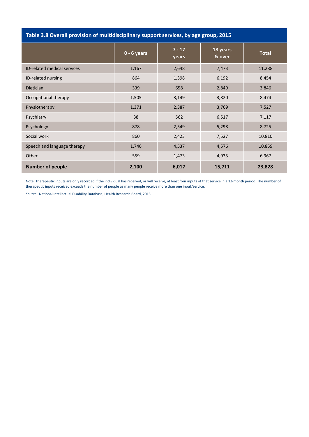| Table 3.8 Overall provision of multidisciplinary support services, by age group, 2015 |               |                   |                    |              |  |  |  |  |  |  |  |  |  |
|---------------------------------------------------------------------------------------|---------------|-------------------|--------------------|--------------|--|--|--|--|--|--|--|--|--|
|                                                                                       | $0 - 6$ years | $7 - 17$<br>years | 18 years<br>& over | <b>Total</b> |  |  |  |  |  |  |  |  |  |
| ID-related medical services                                                           | 1,167         | 2,648             | 7,473              | 11,288       |  |  |  |  |  |  |  |  |  |
| ID-related nursing                                                                    | 864           | 1,398             | 6,192              | 8,454        |  |  |  |  |  |  |  |  |  |
| Dietician                                                                             | 339           | 658               | 2,849              | 3,846        |  |  |  |  |  |  |  |  |  |
| Occupational therapy                                                                  | 1,505         | 3,149             | 3,820              | 8,474        |  |  |  |  |  |  |  |  |  |
| Physiotherapy                                                                         | 1,371         | 2,387             | 3,769              | 7,527        |  |  |  |  |  |  |  |  |  |
| Psychiatry                                                                            | 38            | 562               | 6,517              | 7,117        |  |  |  |  |  |  |  |  |  |
| Psychology                                                                            | 878           | 2,549             | 5,298              | 8,725        |  |  |  |  |  |  |  |  |  |
| Social work                                                                           | 860           | 2,423             | 7,527              | 10,810       |  |  |  |  |  |  |  |  |  |
| Speech and language therapy                                                           | 1,746         | 4,537             | 4,576              | 10,859       |  |  |  |  |  |  |  |  |  |
| Other                                                                                 | 559           | 1,473             | 4,935              | 6,967        |  |  |  |  |  |  |  |  |  |
| <b>Number of people</b>                                                               | 2,100         | 6,017             | 15,711             | 23,828       |  |  |  |  |  |  |  |  |  |

Note: Therapeutic inputs are only recorded if the individual has received, or will receive, at least four inputs of that service in a 12‐month period. The number of therapeutic inputs received exceeds the number of people as many people receive more than one input/service.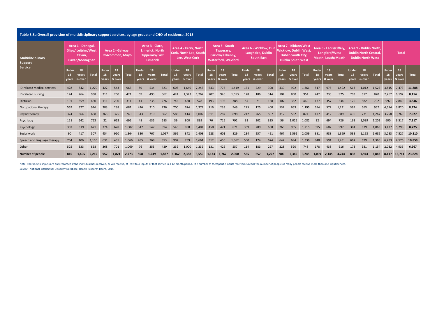| Table 3.8a Overall provision of multidisciplinary support services, by age group and CHO of residence, 2015 |                      |                                                                      |              |                      |                                     |              |                      |                                                                                |              |                             |                                                                   |              |                             |                                                                               |              |                      |                                                                 |              |                             |                                                                                                 |              |                      |                                                                     |              |                             |                                                                                   |       |                             |                       |              |
|-------------------------------------------------------------------------------------------------------------|----------------------|----------------------------------------------------------------------|--------------|----------------------|-------------------------------------|--------------|----------------------|--------------------------------------------------------------------------------|--------------|-----------------------------|-------------------------------------------------------------------|--------------|-----------------------------|-------------------------------------------------------------------------------|--------------|----------------------|-----------------------------------------------------------------|--------------|-----------------------------|-------------------------------------------------------------------------------------------------|--------------|----------------------|---------------------------------------------------------------------|--------------|-----------------------------|-----------------------------------------------------------------------------------|-------|-----------------------------|-----------------------|--------------|
| Multidisciplinary<br>Support                                                                                |                      | Area 1 - Donegal,<br>Sligo/ Leitrim/West<br>Cavan.<br>Cavan/Monaghan |              |                      | Area 2 - Galway.<br>Roscommon, Mayo |              |                      | Area 3 - Clare.<br><b>Limerick, North</b><br><b>Tipperary/East</b><br>Limerick |              |                             | Area 4 - Kerry, North<br>Cork, North Lee, South<br>Lee. West Cork |              |                             | Area 5 - South<br>Tipperary,<br>Carlow/Kilkenny,<br><b>Waterford, Wexford</b> |              |                      | Area 6 - Wicklow, Dun<br>Laoghaire, Dublin<br><b>South East</b> |              |                             | Area 7 - Kildare/West<br>Wicklow, Dublin West<br>Dublin South City,<br><b>Dublin South West</b> |              |                      | Area 8 - Laois/Offalv<br>Longford/West<br><b>Meath. Louth/Meath</b> |              |                             | Area 9 - Dublin North.<br><b>Dublin North Central</b><br><b>Dublin North West</b> |       |                             | <b>Total</b>          |              |
| Service                                                                                                     | Under<br>18<br>years | 18<br>vears<br>& over                                                | <b>Total</b> | Under<br>18<br>years | 18<br>years<br>& over               | <b>Total</b> | Under<br>18<br>vears | 18<br>vears<br>& over                                                          | <b>Total</b> | <b>Under</b><br>18<br>years | 18<br>years<br>& over                                             | <b>Total</b> | <b>Under</b><br>18<br>vears | 18<br>years<br>& over                                                         | <b>Total</b> | Under<br>18<br>years | 18<br>vears<br>& over                                           | <b>Total</b> | <b>Under</b><br>18<br>vears | 18<br>vears<br>& over                                                                           | <b>Total</b> | Under<br>18<br>years | 18<br>vears<br>& over                                               | <b>Total</b> | <b>Under</b><br>18<br>years | 18<br>years<br>& over                                                             | Total | <b>Under</b><br>18<br>vears | 18<br>years<br>& over | <b>Total</b> |
| ID-related medical services                                                                                 | 428                  | 842                                                                  | 1,270        | 422                  | 543                                 | 965          | 89                   | 534                                                                            | 623          | 603                         | 1,640                                                             | 2,243        | 643                         | 776                                                                           | 1,419        | 161                  | 229                                                             | 390          | 439                         | 922                                                                                             | 1,361        | 517                  | 975                                                                 | 1,492        | 513                         | 1,012                                                                             | 1,525 | 3,815                       | 7,473                 | 11,288       |
| ID-related nursing                                                                                          | 174                  | 764                                                                  | 938          | 211                  | 260                                 | 471          | 69                   | 493                                                                            | 562          | 424                         | 1,343                                                             | 1,767        | 707                         | 946                                                                           | 1,653        | 128                  | 186                                                             | 314          | 104                         | 850                                                                                             | 954          | 242                  | 733                                                                 | 975          | 203                         | 617                                                                               | 820   | 2,262                       | 6,192                 | 8,454        |
| Dietician                                                                                                   | 101                  | 359                                                                  | 460          | 111                  | 200                                 | 311          | 41                   | 235                                                                            | 276          | 90                          | 488                                                               | 578          | 193                         | 195                                                                           | 388          | 57                   | 71                                                              | 128          | 107                         | 362                                                                                             | 469          | 177                  | 357                                                                 | 534          | 120                         | 582                                                                               | 702   | 997                         | 2,849                 | 3,846        |
| Occupational therapy                                                                                        | 569                  | 377                                                                  | 946          | 383                  | 298                                 | 681          | 426                  | 310                                                                            | 736          | 700                         | 674                                                               | 1,374        | 716                         | 233                                                                           | 949          | 275                  | 125                                                             | 400          | 532                         | 663                                                                                             | 1,195        | 654                  | 577                                                                 | 1,231        | 399                         | 563                                                                               | 962   | 4,654                       | 3,820                 | 8,474        |
| Physiotherapy                                                                                               | 324                  | 364                                                                  | 688          | 365                  | 375                                 | 740          | 343                  | 319                                                                            | 662          | 588                         | 414                                                               | 1,002        | 611                         | 287                                                                           | 898          | 242                  | 265                                                             | 507          | 312                         | 562                                                                                             | 874          | 477                  | 412                                                                 | 889          | 496                         | 771                                                                               | 1,267 | 3,758                       | 3,769                 | 7,527        |
| Psychiatry                                                                                                  | 121                  | 642                                                                  | 763          | 32                   | 663                                 | 695          | 48                   | 635                                                                            | 683          | 39                          | 800                                                               | 839          | 76                          | 716                                                                           | 792          | 33                   | 302                                                             | 335          | 56                          | 1,026                                                                                           | 1,082        | 32                   | 694                                                                 | 726          | 163                         | 1,039                                                                             | 1,202 | 600                         | 6,517                 | 7,117        |
| Psychology                                                                                                  | 302                  | 319                                                                  | 621          | 374                  | 628                                 | 1,002        | 347                  | 547                                                                            | 894          | 546                         | 858                                                               | 1.404        | 450                         | 421                                                                           | 871          | 369                  | 289                                                             | 658          | 260                         | 955                                                                                             | 1,215        | 395                  | 602                                                                 | 997          | 384                         | 679                                                                               | 1,063 | 3,427                       | 5,298                 | 8,725        |
| Social work                                                                                                 | 90                   | 417                                                                  | 507          | 454                  | 910                                 | 1.364        | 330                  | 767                                                                            | 1,097        | 566                         | 842                                                               | 1.408        | 228                         | 601                                                                           | 829          | 234                  | 257                                                             | 491          | 467                         | 1,592                                                                                           | 2.059        | 381                  | 988                                                                 | 1,369        | 533                         | 1.153                                                                             | 1.686 | 3,283                       | 7,527                 | 10,810       |
| Speech and language therapy                                                                                 | 704                  | 406                                                                  | 1.110        | 631                  | 435                                 | 1,066        | 485                  | 368                                                                            | 853          | 902                         | 759                                                               | 1.661        | 912                         | 450                                                                           | 1.362        | 500                  | 174                                                             | 674          | 642                         | 694                                                                                             | 1.336        | 840                  | 591                                                                 | 1.431        | 667                         | 699                                                                               | 1.366 | 6,283                       | 4,576                 | 10,859       |
| Other                                                                                                       | 525                  | 333                                                                  | 858          | 368                  | 701                                 | 1,069        | 76                   | 353                                                                            | 429          | 239                         | 1,000                                                             | 1,239        | 131                         | 426                                                                           | 557          |                      | 183                                                             | 297          | 228                         | 520                                                                                             | 748          | 178                  | 438                                                                 | 616          | 173                         | 981                                                                               | 1,154 | 2,032                       | 4,935                 | 6,967        |
| <b>Number of people</b>                                                                                     | 810                  | 1.405                                                                | 2,215        | 952                  | 1,821                               | 2,773        | 598                  | 1,239                                                                          | 1,837        | 1,162                       | 2,388                                                             | 3,550        | 1,133                       | 1,767                                                                         | 2,900        | 565                  | 657                                                             | 1.222        | 900                         | 2,345                                                                                           | 3,245        | 1,099                | 2,145                                                               | 3.244        | 898                         | 1,944                                                                             |       | 2.842 8.117 15.711          |                       | 23,828       |

*Source:* National Intellectual Disability Database, Health Research Board, 2015 Note: Therapeutic inputs are only recorded if the individual has received, or will receive, at least four inputs of that service in a 12-month period. The number of therapeutic inputs received exceeds the number of people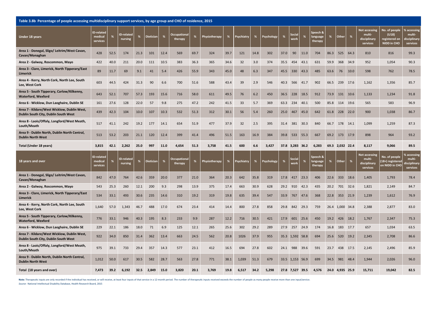Table 3.8b Percentage of people accessing multidisciplinary support services, by age group and CHO of residence, 2015

| Under 18 years                                                                      | <b>ID-related</b><br>medical<br>services | %    | <b>ID-related</b><br>nursing | %    | <b>Dietician</b> | %    | Occupational<br>therapy | %    | Physiotherapy | %    | Psychiatry | %    | Psychology | %    | Social<br>worl  | %    | Speech &<br>language<br>therapy | %    | Other           | %        | <b>Not accessing</b><br>multi-<br>disciplinary<br>services | No. of people<br>(U18)<br>registered on<br><b>NIDD in CHO</b> | % accessing<br>multi-<br><b>lisciplinary</b><br>services |
|-------------------------------------------------------------------------------------|------------------------------------------|------|------------------------------|------|------------------|------|-------------------------|------|---------------|------|------------|------|------------|------|-----------------|------|---------------------------------|------|-----------------|----------|------------------------------------------------------------|---------------------------------------------------------------|----------------------------------------------------------|
| Area 1 - Donegal, Sligo/ Leitrim/West Cavan,<br>Cavan/Monaghan                      | 428                                      | 52.5 | 174                          | 21.3 | 101              | 12.4 | 569                     | 69.7 | 324           | 39.7 | 121        | 14.8 | 302        | 37.0 | 90              | 11.0 | 704                             | 86.3 | 525             | 64.3     | 810                                                        | 816                                                           | 99.3                                                     |
| Area 2 - Galway, Roscommon, Mayo                                                    | 422                                      | 40.0 | 211                          | 20.0 | 111              | 10.5 | 383                     | 36.3 | 365           | 34.6 | 32         | 3.0  | 374        | 35.5 | 454             | 43.1 | 631                             | 59.9 | 368             | 34.9     | 952                                                        | 1,054                                                         | 90.3                                                     |
| Area 3 - Clare, Limerick, North Tipperary/East<br>Limerick                          | 89                                       | 11.7 | 69                           | 9.1  | 41               | 5.4  | 426                     | 55.9 | 343           | 45.0 | 48         | 6.3  | 347        | 45.5 | 330             | 43.3 | 485                             | 63.6 | 76              | 10.0     | 598                                                        | 762                                                           | 78.5                                                     |
| Area 4 - Kerry, North Cork, North Lee, South<br>Lee, West Cork                      | 603                                      | 44.5 | 424                          | 31.3 | 90               | 6.6  | 700                     | 51.6 | 588           | 43.4 | 39         | 2.9  | 546        | 40.3 | 566             | 41.7 | 902                             | 66.5 | 239             | 17.6     | 1,162                                                      | 1,356                                                         | 85.7                                                     |
| Area 5 - South Tipperary, Carlow/Kilkenny,<br><b>Waterford, Wexford</b>             | 643                                      | 52.1 | 707                          | 57.3 | 193              | 15.6 | 716                     | 58.0 | 611           | 49.5 | 76         | 6.2  | 450        | 36.5 | 228             | 18.5 | 912                             | 73.9 | 131             | 10.6     | 1,133                                                      | 1,234                                                         | 91.8                                                     |
| Area 6 - Wicklow, Dun Laoghaire, Dublin SE                                          | 161                                      | 27.6 | 128                          | 22.0 | 57               | 9.8  | 275                     | 47.2 | 242           | 41.5 | 33         | 5.7  | 369        | 63.3 | 234             | 40.1 | 500                             | 85.8 | 114 19.6        |          | 565                                                        | 583                                                           | 96.9                                                     |
| Area 7 - Kildare/West Wicklow, Dublin West,<br>Dublin South City, Dublin South West | 439                                      | 42.3 | 104                          | 10.0 | 107              | 10.3 | 532                     | 51.3 | 312           | 30.1 | 56         | 5.4  | 260        | 25.0 | 467             | 45.0 | 642                             | 61.8 | 228             | 22.0     | 900                                                        | 1,038                                                         | 86.7                                                     |
| Area 8 - Laois/Offaly, Longford/West Meath,<br>Louth/Meath                          | 517                                      | 41.1 | 242                          | 19.2 | 177              | 14.1 | 654                     | 51.9 | 477           | 37.9 | 32         | 2.5  | 395        | 31.4 | 381             | 30.3 | 840                             | 66.7 | 178 14.1        |          | 1,099                                                      | 1,259                                                         | 87.3                                                     |
| Area 9 - Dublin North, Dublin North Central,<br><b>Dublin North West</b>            | 513                                      | 53.2 | 203                          | 21.1 | 120              | 12.4 | 399                     | 41.4 | 496           | 51.5 | 163        | 16.9 | 384        | 39.8 | 533             | 55.3 | 667                             | 69.2 | 173             | 17.9     | 898                                                        | 964                                                           | 93.2                                                     |
| Total (Under 18 years)                                                              | 3,815                                    | 42.1 | 2,262                        | 25.0 | 997              | 11.0 | 4,654                   | 51.3 | 3,758         | 41.5 | 600        | 6.6  | 3,427      |      | 37.8 3,283 36.2 |      | 6,283                           |      | 69.3 2,032 22.4 |          | 8,117                                                      | 9,066                                                         | 89.5                                                     |
|                                                                                     |                                          |      |                              |      |                  |      |                         |      |               |      |            |      |            |      |                 |      |                                 |      |                 |          |                                                            |                                                               |                                                          |
| 18 years and over                                                                   | <b>ID-related</b><br>medical<br>services | %    | ID-related<br>nursing        | %    | <b>Dietician</b> | $\%$ | Occupational<br>therapy | %    | Physiotherapy | %    | Psychiatry | %    | Psychology | %    | Social<br>worl  | $\%$ | Speech &<br>language<br>therapy | %    | Other           | %        | <b>Not accessing</b><br>multi-<br>disciplinary<br>services | No. of people<br>18+) registered<br>n NIDD in CHO             | <b>6 accessing</b><br>multi-<br>lisciplinary<br>services |
| Area 1 - Donegal, Sligo/ Leitrim/West Cavan,<br>Cavan/Monaghan                      | 842                                      | 47.0 | 764                          | 42.6 | 359              | 20.0 | 377                     | 21.0 | 364           | 20.3 | 642        | 35.8 | 319        | 17.8 | 417             | 23.3 | 406                             | 22.6 | 333             | 18.6     | 1,405                                                      | 1,793                                                         | 78.4                                                     |
| Area 2 - Galway, Roscommon, Mayo                                                    | 543                                      | 25.3 | 260                          | 12.1 | 200              | 9.3  | 298                     | 13.9 | 375           | 17.4 | 663        | 30.9 | 628        | 29.2 | 910             | 42.3 | 435                             | 20.2 | 701             | 32.6     | 1,821                                                      | 2,149                                                         | 84.7                                                     |
| Area 3 - Clare, Limerick, North Tipperary/East<br>Limerick                          | 534                                      | 33.1 | 493                          | 30.6 | 235              | 14.6 | 310                     | 19.2 | 319           | 19.8 | 635        | 39.4 | 547        | 33.9 | 767             | 47.6 | 368                             | 22.8 |                 | 353 21.9 | 1,239                                                      | 1,612                                                         | 76.9                                                     |
| Area 4 - Kerry, North Cork, North Lee, South<br>Lee, West Cork                      | 1,640                                    | 57.0 | 1,343                        | 46.7 | 488              | 17.0 | 674                     | 23.4 | 414           | 14.4 | 800        | 27.8 | 858        | 29.8 | 842             | 29.3 | 759                             |      | 26.4 1,000 34.8 |          | 2,388                                                      | 2,877                                                         | 83.0                                                     |
| Area 5 - South Tipperary, Carlow/Kilkenny,<br><b>Waterford, Wexford</b>             | 776                                      | 33.1 | 946                          | 40.3 | 195              | 8.3  | 233                     | 9.9  | 287           | 12.2 | 716        | 30.5 | 421        | 17.9 | 601             | 25.6 | 450                             | 19.2 | 426             | 18.2     | 1,767                                                      | 2,347                                                         | 75.3                                                     |
| Area 6 - Wicklow, Dun Laoghaire, Dublin SE                                          | 229                                      | 22.1 | 186                          | 18.0 | 71               | 6.9  | 125                     | 12.1 | 265           | 25.6 | 302        | 29.2 | 289        | 27.9 | 257             | 24.9 | 174                             | 16.8 |                 | 183 17.7 | 657                                                        | 1,034                                                         | 63.5                                                     |
| Area 7 - Kildare/West Wicklow, Dublin West,<br>Dublin South City, Dublin South West | 922                                      | 34.0 | 850                          | 31.4 | 362              | 13.4 | 663                     | 24.5 | 562           | 20.8 | 1026       | 37.9 | 955        | 35.3 | 1,592 58.8      |      | 694                             | 25.6 | 520             | 19.2     | 2,345                                                      | 2,708                                                         | 86.6                                                     |
| Area 8 - Laois/Offaly, Longford/West Meath,<br>Louth/Meath                          | 975                                      | 39.1 | 733                          | 29.4 | 357              | 14.3 | 577                     | 23.1 | 412           | 16.5 | 694        | 27.8 | 602        | 24.1 | 988             | 39.6 | 591                             | 23.7 | 438             | 17.5     | 2,145                                                      | 2,496                                                         | 85.9                                                     |
| Area 9 - Dublin North, Dublin North Central,<br><b>Dublin North West</b>            | 1,012                                    | 50.0 | 617                          | 30.5 | 582              | 28.7 | 563                     | 27.8 | 771           | 38.1 | 1,039      | 51.3 | 679        |      | 33.5 1,153      | 56.9 | 699                             | 34.5 | 981             | 48.4     | 1,944                                                      | 2,026                                                         | 96.0                                                     |

Note: Therapeutic inputs are only recorded if the individual has received, or will receive, at least four inputs of that service in a 12-month period. The number of therapeutic inputs received exceeds the number of people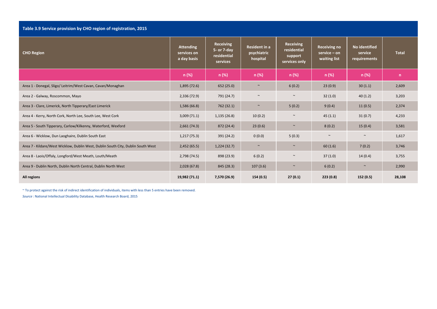#### **Table 3.9 Service provision by CHO region of registration, 2015**

| <b>CHO Region</b>                                                                | <b>Attending</b><br>services on<br>a day basis | <b>Receiving</b><br>5- or 7-day<br>residential<br>services | <b>Resident in a</b><br>psychiatric<br>hospital | Receiving<br>residential<br>support<br>services only | <b>Receiving no</b><br>$service - on$<br>waiting list | No identified<br>service<br>requirements | <b>Total</b> |
|----------------------------------------------------------------------------------|------------------------------------------------|------------------------------------------------------------|-------------------------------------------------|------------------------------------------------------|-------------------------------------------------------|------------------------------------------|--------------|
|                                                                                  | n (%)                                          | n (%)                                                      | n (%)                                           | n (%)                                                | n (%)                                                 | $n (\%)$                                 | n            |
| Area 1 - Donegal, Sligo/ Leitrim/West Cavan, Cavan/Monaghan                      | 1,895(72.6)                                    | 652 (25.0)                                                 | $\sim$                                          | 6(0.2)                                               | 23(0.9)                                               | 30(1.1)                                  | 2,609        |
| Area 2 - Galway, Roscommon, Mayo                                                 | 2,336 (72.9)                                   | 791 (24.7)                                                 | $\sim$                                          | $\sim$                                               | 32(1.0)                                               | 40(1.2)                                  | 3,203        |
| Area 3 - Clare, Limerick, North Tipperary/East Limerick                          | 1,586 (66.8)                                   | 762 (32.1)                                                 | $\sim$                                          | 5(0.2)                                               | 9(0.4)                                                | 11(0.5)                                  | 2,374        |
| Area 4 - Kerry, North Cork, North Lee, South Lee, West Cork                      | 3,009(71.1)                                    | 1,135(26.8)                                                | 10(0.2)                                         | $\sim$                                               | 45(1.1)                                               | 31(0.7)                                  | 4,233        |
| Area 5 - South Tipperary, Carlow/Kilkenny, Waterford, Wexford                    | 2,661(74.3)                                    | 872 (24.4)                                                 | 23(0.6)                                         | $\sim$                                               | 8(0.2)                                                | 15(0.4)                                  | 3,581        |
| Area 6 - Wicklow, Dun Laoghaire, Dublin South East                               | 1,217(75.3)                                    | 391 (24.2)                                                 | 0(0.0)                                          | 5(0.3)                                               | $\sim$                                                | $\sim$                                   | 1,617        |
| Area 7 - Kildare/West Wicklow, Dublin West, Dublin South City, Dublin South West | 2,452(65.5)                                    | 1,224(32.7)                                                | $\sim$                                          | $\sim$                                               | 60(1.6)                                               | 7(0.2)                                   | 3,746        |
| Area 8 - Laois/Offaly, Longford/West Meath, Louth/Meath                          | 2,798 (74.5)                                   | 898 (23.9)                                                 | 6(0.2)                                          | $\sim$                                               | 37(1.0)                                               | 14(0.4)                                  | 3,755        |
| Area 9 - Dublin North, Dublin North Central, Dublin North West                   | 2,028(67.8)                                    | 845 (28.3)                                                 | 107(3.6)                                        | $\sim$                                               | 6(0.2)                                                | $\sim$                                   | 2,990        |
| All regions                                                                      | 19,982 (71.1)                                  | 7,570 (26.9)                                               | 154 (0.5)                                       | 27(0.1)                                              | 223(0.8)                                              | 152 (0.5)                                | 28,108       |

~ To protect against the risk of indirect identification of individuals, items with less than 5 entries have been removed.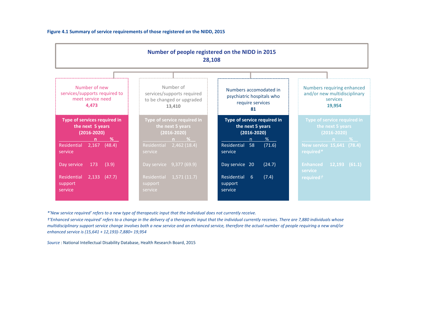### **Figure 4.1 Summary of service requirements of those registered on the NIDD, 2015**

|                                                                                      | Number of people registered on the NIDD in 2015<br>28,108                      |                                                                               |                                                                                  |
|--------------------------------------------------------------------------------------|--------------------------------------------------------------------------------|-------------------------------------------------------------------------------|----------------------------------------------------------------------------------|
|                                                                                      |                                                                                |                                                                               |                                                                                  |
| Number of new<br>services/supports required to<br>meet service need<br>4.473         | Number of<br>services/supports required<br>to be changed or upgraded<br>13,410 | Numbers accomodated in<br>psychiatric hospitals who<br>require services<br>81 | Numbers requiring enhanced<br>and/or new multidisciplinary<br>services<br>19,954 |
| <b>Type of services required in</b><br>the next 5 years<br>$(2016 - 2020)$<br>%<br>n | Type of service required in<br>the next 5 years<br>(2016-2020)<br>$n \approx $ | Type of service required in<br>the next 5 years<br>$(2016 - 2020)$<br>%<br>n. | Type of service required in<br>the next 5 years<br>$(2016 - 2020)$<br>n %        |
| 2,167<br>(48.4)<br>Residential<br>service                                            | 2,462(18.4)<br>Residential<br>service                                          | Residential<br>(71.6)<br>58<br>service                                        | New service 15,641 (78.4)<br>required*                                           |
| Day service<br>173<br>(3.9)                                                          | Day service 9,377 (69.9)                                                       | Day service 20<br>(24.7)                                                      | <b>Enhanced</b><br>$12,193$ (61.1)<br>service                                    |
| Residential<br>$2,133$ $(47.7)$<br>support<br>service                                | Residential<br>1,571(11.7)<br>support<br>service                               | Residential 6<br>(7.4)<br>support<br>service                                  | required $\tau$                                                                  |

\*'New service required' refers to a new type of therapeutic input that the individual does not currently receive.

t 'Enhanced service required' refers to a change in the delivery of a therapeutic input that the individual currently receives. There are 7,880 individuals whose multidisciplinary support service change involves both a new service and an enhanced service, therefore the actual number of people requiring a new and/or *enhanced service is (15,641 <sup>+</sup> 12,193)‐7,880= 19,954*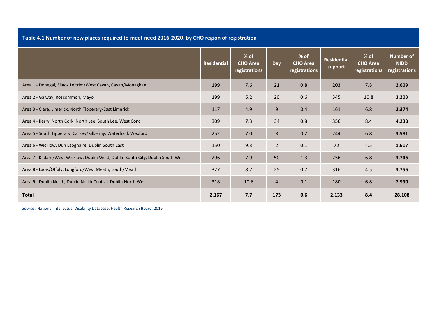**Table 4.1 Number of new places required to meet need 2016‐2020, by CHO region of registration**

|                                                                                  | <b>Residential</b> | $%$ of<br><b>CHO Area</b><br>registrations | Day            | % of<br><b>CHO Area</b><br>registrations | <b>Residential</b><br>support | % of<br><b>CHO Area</b><br>registrations | Number of<br><b>NIDD</b><br>registrations |
|----------------------------------------------------------------------------------|--------------------|--------------------------------------------|----------------|------------------------------------------|-------------------------------|------------------------------------------|-------------------------------------------|
| Area 1 - Donegal, Sligo/ Leitrim/West Cavan, Cavan/Monaghan                      | 199                | 7.6                                        | 21             | 0.8                                      | 203                           | 7.8                                      | 2,609                                     |
| Area 2 - Galway, Roscommon, Mayo                                                 | 199                | 6.2                                        | 20             | 0.6                                      | 345                           | 10.8                                     | 3,203                                     |
| Area 3 - Clare, Limerick, North Tipperary/East Limerick                          | 117                | 4.9                                        | 9              | 0.4                                      | 161                           | 6.8                                      | 2,374                                     |
| Area 4 - Kerry, North Cork, North Lee, South Lee, West Cork                      | 309                | 7.3                                        | 34             | 0.8                                      | 356                           | 8.4                                      | 4,233                                     |
| Area 5 - South Tipperary, Carlow/Kilkenny, Waterford, Wexford                    | 252                | 7.0                                        | 8              | 0.2                                      | 244                           | 6.8                                      | 3,581                                     |
| Area 6 - Wicklow, Dun Laoghaire, Dublin South East                               | 150                | 9.3                                        | $\overline{2}$ | 0.1                                      | 72                            | 4.5                                      | 1,617                                     |
| Area 7 - Kildare/West Wicklow, Dublin West, Dublin South City, Dublin South West | 296                | 7.9                                        | 50             | 1.3                                      | 256                           | 6.8                                      | 3,746                                     |
| Area 8 - Laois/Offaly, Longford/West Meath, Louth/Meath                          | 327                | 8.7                                        | 25             | 0.7                                      | 316                           | 4.5                                      | 3,755                                     |
| Area 9 - Dublin North, Dublin North Central, Dublin North West                   | 318                | 10.6                                       | 4              | 0.1                                      | 180                           | 6.8                                      | 2,990                                     |
| <b>Total</b>                                                                     | 2,167              | 7.7                                        | 173            | 0.6                                      | 2,133                         | 8.4                                      | 28,108                                    |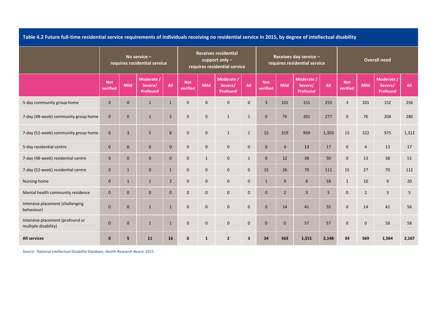Table 4.2 Future full-time residential service requirements of individuals receiving no residential service in 2015, by degree of intellectual disability

|                                                          |                        | No service -<br>requires residential service |                                   |                |                        |              | <b>Receives residential</b><br>support only $-$<br>requires residential service |              |                        |                | Receives day service -<br>requires residential service |       |                        |                | <b>Overall need</b>               |       |
|----------------------------------------------------------|------------------------|----------------------------------------------|-----------------------------------|----------------|------------------------|--------------|---------------------------------------------------------------------------------|--------------|------------------------|----------------|--------------------------------------------------------|-------|------------------------|----------------|-----------------------------------|-------|
|                                                          | <b>Not</b><br>verified | Mild                                         | Moderate /<br>Severe/<br>Profound | All            | <b>Not</b><br>verified | <b>Mild</b>  | Moderate /<br>Severe/<br><b>Profound</b>                                        | All          | <b>Not</b><br>verified | <b>Mild</b>    | Moderate /<br>Severe/<br>Profound                      | All   | <b>Not</b><br>verified | <b>Mild</b>    | Moderate /<br>Severe/<br>Profound | All   |
| 5-day community group home                               | $\mathbf{0}$           | $\mathbf{0}$                                 | $\mathbf{1}$                      | $\mathbf{1}$   | $\mathbf{0}$           | $\mathbf{0}$ | $\mathbf{0}$                                                                    | $\mathbf 0$  | $\overline{3}$         | 101            | 151                                                    | 255   | $\overline{3}$         | 101            | 152                               | 256   |
| 7-day (48-week) community group home                     | $\mathbf{0}$           | $\mathbf{0}$                                 | $\overline{2}$                    | $2^{\circ}$    | $\mathbf{0}$           | $\mathbf{0}$ | $\mathbf{1}$                                                                    | $\mathbf{1}$ | $\mathbf{0}$           | 76             | 201                                                    | 277   | $\mathbf 0$            | 76             | 204                               | 280   |
| 7-day (52-week) community group home                     | $\mathbf{0}$           | $\overline{3}$                               | 5                                 | 8              | $\mathbf{0}$           | $\mathbf 0$  | $\mathbf{1}$                                                                    | $\mathbf{1}$ | 15                     | 319            | 969                                                    | 1,303 | 15                     | 322            | 975                               | 1,312 |
| 5-day residential centre                                 | $\mathbf{0}$           | $\mathbf{0}$                                 | $\mathbf{0}$                      | $\mathbf{0}$   | $\mathbf{0}$           | $\mathbf{0}$ | $\mathbf 0$                                                                     | $\mathbf{0}$ | $\mathbf{0}$           | $\overline{4}$ | 13                                                     | 17    | $\mathbf{0}$           | $\overline{4}$ | 13                                | 17    |
| 7-day (48-week) residential centre                       | $\mathbf{0}$           | $\mathbf{0}$                                 | $\mathbf{0}$                      | $\mathbf{0}$   | $\mathbf 0$            | $\mathbf{1}$ | $\mathbf 0$                                                                     | $\mathbf{1}$ | $\mathbf{0}$           | 12             | 38                                                     | 50    | $\mathbf 0$            | 13             | 38                                | 51    |
| 7-day (52-week) residential centre                       | $\mathbf{0}$           | $\mathbf{1}$                                 | $\mathbf 0$                       | $\mathbf{1}$   | $\mathbf{0}$           | $\mathbf{0}$ | $\mathbf 0$                                                                     | $\mathbf{0}$ | 15                     | 26             | 70                                                     | 111   | 15                     | 27             | 70                                | 112   |
| Nursing home                                             | $\mathbf{0}$           | $\mathbf{1}$                                 | $\mathbf{1}$                      | $\overline{2}$ | $\mathbf{0}$           | $\mathbf 0$  | $\mathbf 0$                                                                     | $\mathbf 0$  | $\mathbf{1}$           | 9              | 8                                                      | 18    | $\mathbf{1}$           | 10             | 9                                 | 20    |
| Mental health community residence                        | $\mathbf{0}$           | $\mathbf{0}$                                 | $\mathbf 0$                       | $\mathbf{0}$   | $\mathbf 0$            | $\mathbf 0$  | $\mathbf 0$                                                                     | $\mathbf 0$  | $\mathbf{0}$           | $\overline{2}$ | $\overline{3}$                                         | 5     | $\mathbf 0$            | $\overline{2}$ | $\overline{3}$                    | 5     |
| Intensive placement (challenging<br>behaviour)           | $\mathbf{0}$           | $\mathbf{0}$                                 | $\mathbf{1}$                      | $\mathbf{1}$   | $\mathbf{0}$           | $\mathbf{0}$ | $\mathbf 0$                                                                     | $\mathbf{0}$ | $\mathbf{0}$           | 14             | 41                                                     | 55    | $\mathbf{0}$           | 14             | 42                                | 56    |
| Intensive placement (profound or<br>multiple disability) | $\mathbf{0}$           | $\mathbf{0}$                                 | $\mathbf{1}$                      | $\mathbf{1}$   | $\mathbf{0}$           | $\mathbf{0}$ | $\mathbf 0$                                                                     | $\mathbf{0}$ | $\mathbf{0}$           | $\mathbf{0}$   | 57                                                     | 57    | $\mathbf{0}$           | $\overline{0}$ | 58                                | 58    |
| <b>All services</b>                                      | $\bf{0}$               | 5                                            | 11                                | 16             | $\mathbf 0$            | $\mathbf{1}$ | $\overline{2}$                                                                  | 3            | 34                     | 563            | 1,551                                                  | 2,148 | 34                     | 569            | 1,564                             | 2,167 |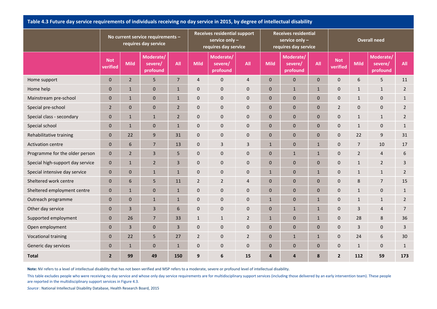|                                  |                        |                | No current service requirements -<br>requires day service |                |                | <b>Receives residential support</b><br>service only -<br>requires day service |                |                | <b>Receives residential</b><br>service only -<br>requires day service |              |                        |                | Overall need                     |                |
|----------------------------------|------------------------|----------------|-----------------------------------------------------------|----------------|----------------|-------------------------------------------------------------------------------|----------------|----------------|-----------------------------------------------------------------------|--------------|------------------------|----------------|----------------------------------|----------------|
|                                  | <b>Not</b><br>verified | <b>Mild</b>    | Moderate/<br>severe/<br>profound                          | All            | <b>Mild</b>    | Moderate/<br>severe/<br>profound                                              | All            | <b>Mild</b>    | Moderate/<br>severe/<br>profound                                      | All          | <b>Not</b><br>verified | <b>Mild</b>    | Moderate/<br>severe/<br>profound | All            |
| Home support                     | $\mathbf{0}$           | $\overline{2}$ | 5                                                         | $\overline{7}$ | $\overline{4}$ | $\pmb{0}$                                                                     | $\overline{4}$ | $\mathbf{0}$   | $\pmb{0}$                                                             | $\mathbf{0}$ | $\pmb{0}$              | $6\phantom{1}$ | 5                                | 11             |
| Home help                        | $\bf{0}$               | $\mathbf 1$    | 0                                                         | $\mathbf{1}$   | $\mathbf 0$    | $\pmb{0}$                                                                     | 0              | $\mathbf{0}$   | $\mathbf{1}$                                                          | $\mathbf{1}$ | $\mathbf 0$            | $1\,$          | $\mathbf{1}$                     | $\overline{2}$ |
| Mainstream pre-school            | $\bf{0}$               | $\mathbf 1$    | 0                                                         | $\mathbf{1}$   | $\mathbf 0$    | $\pmb{0}$                                                                     | 0              | $\mathbf{0}$   | 0                                                                     | $\mathbf 0$  | $\mathbf 0$            | $1\,$          | $\mathbf{0}$                     | $\mathbf{1}$   |
| Special pre-school               | $\overline{2}$         | $\pmb{0}$      | 0                                                         | $\overline{2}$ | $\mathbf{0}$   | $\pmb{0}$                                                                     | 0              | $\overline{0}$ | 0                                                                     | $\mathbf{0}$ | $\overline{2}$         | $\mathbf 0$    | $\mathbf{0}$                     | $\overline{2}$ |
| Special class - secondary        | $\bf{0}$               | $1\,$          | $\mathbf{1}$                                              | $\overline{2}$ | $\mathbf 0$    | $\pmb{0}$                                                                     | $\mathbf 0$    | $\mathbf{0}$   | $\pmb{0}$                                                             | $\mathbf 0$  | $\mathbf 0$            | $\mathbf{1}$   | $\mathbf{1}$                     | $\overline{2}$ |
| Special school                   | $\mathbf 0$            | $\mathbf{1}$   | 0                                                         | $\mathbf{1}$   | $\mathbf 0$    | $\mathbf 0$                                                                   | $\mathbf 0$    | $\mathbf{0}$   | 0                                                                     | $\mathbf 0$  | $\mathbf 0$            | $\mathbf{1}$   | $\mathbf{0}$                     | $\mathbf{1}$   |
| Rehabilitative training          | $\mathbf{0}$           | 22             | 9                                                         | 31             | $\mathbf 0$    | 0                                                                             | 0              | $\mathbf{0}$   | 0                                                                     | $\mathbf{0}$ | $\mathbf 0$            | 22             | 9                                | 31             |
| <b>Activation centre</b>         | $\mathbf 0$            | $\,$ 6 $\,$    | $\overline{7}$                                            | 13             | $\mathbf 0$    | 3                                                                             | 3              | $\mathbf{1}$   | $\pmb{0}$                                                             | $\mathbf{1}$ | $\mathbf 0$            | $\overline{7}$ | 10                               | 17             |
| Programme for the older person   | $\mathbf{0}$           | $\overline{2}$ | 3                                                         | 5              | $\mathbf{0}$   | $\mathbf 0$                                                                   | $\mathbf{0}$   | $\mathbf{0}$   | $\mathbf{1}$                                                          | $\mathbf{1}$ | $\mathbf{0}$           | $\overline{2}$ | $\overline{4}$                   | 6              |
| Special high-support day service | $\mathbf 0$            | $\mathbf{1}$   | $\overline{2}$                                            | 3              | $\mathbf 0$    | $\pmb{0}$                                                                     | 0              | $\mathbf{0}$   | $\pmb{0}$                                                             | $\mathbf 0$  | $\mathbf 0$            | $\mathbf{1}$   | $\overline{2}$                   | 3              |
| Special intensive day service    | $\mathbf 0$            | $\pmb{0}$      | $\mathbf{1}$                                              | $\mathbf{1}$   | $\mathbf 0$    | $\pmb{0}$                                                                     | $\mathbf 0$    | $\mathbf{1}$   | $\pmb{0}$                                                             | $\mathbf{1}$ | $\mathbf 0$            | $\mathbf{1}$   | $\mathbf{1}$                     | $\overline{2}$ |
| Sheltered work centre            | $\mathbf 0$            | 6              | 5                                                         | 11             | $\overline{2}$ | $\overline{2}$                                                                | 4              | $\mathbf{0}$   | $\pmb{0}$                                                             | $\mathbf 0$  | $\mathbf 0$            | 8              | $\overline{7}$                   | 15             |
| Sheltered employment centre      | $\pmb{0}$              | $\mathbf{1}$   | 0                                                         | $\mathbf{1}$   | $\mathbf 0$    | $\pmb{0}$                                                                     | 0              | $\mathbf{0}$   | $\pmb{0}$                                                             | $\mathbf 0$  | $\mathbf 0$            | $\mathbf{1}$   | $\mathbf 0$                      | $\mathbf{1}$   |
| Outreach programme               | $\mathbf 0$            | $\pmb{0}$      | $\mathbf{1}$                                              | $\mathbf{1}$   | $\pmb{0}$      | $\pmb{0}$                                                                     | $\pmb{0}$      | $\mathbf{1}$   | $\pmb{0}$                                                             | $\mathbf{1}$ | $\boldsymbol{0}$       | $\mathbf{1}$   | $\mathbf{1}$                     | $\overline{2}$ |
| Other day service                | $\pmb{0}$              | 3              | 3                                                         | 6              | $\pmb{0}$      | $\pmb{0}$                                                                     | 0              | $\mathbf{0}$   | $\mathbf{1}$                                                          | $\mathbf{1}$ | $\mathbf 0$            | $\overline{3}$ | $\overline{4}$                   | $\overline{7}$ |
| Supported employment             | $\pmb{0}$              | 26             | $\overline{7}$                                            | 33             | $\mathbf{1}$   | $\mathbf{1}$                                                                  | $\overline{2}$ | $\mathbf{1}$   | 0                                                                     | $\mathbf{1}$ | $\boldsymbol{0}$       | 28             | 8                                | 36             |
| Open employment                  | $\pmb{0}$              | $\mathsf 3$    | $\pmb{0}$                                                 | 3              | $\pmb{0}$      | $\pmb{0}$                                                                     | 0              | $\mathbf{0}$   | $\pmb{0}$                                                             | $\mathbf 0$  | $\pmb{0}$              | $\overline{3}$ | $\mathbf 0$                      | 3              |
| <b>Vocational training</b>       | $\pmb{0}$              | 22             | 5                                                         | 27             | $\overline{2}$ | $\pmb{0}$                                                                     | $\overline{2}$ | $\overline{0}$ | $\mathbf{1}$                                                          | $\mathbf{1}$ | $\mathbf 0$            | 24             | 6                                | 30             |
| Generic day services             | $\pmb{0}$              | $\mathbf{1}$   | 0                                                         | $\mathbf{1}$   | $\mathbf 0$    | $\pmb{0}$                                                                     | 0              | $\mathbf{0}$   | $\pmb{0}$                                                             | $\mathbf 0$  | $\mathbf 0$            | $\mathbf{1}$   | $\mathbf{0}$                     | $\mathbf{1}$   |
| <b>Total</b>                     | $\overline{2}$         | 99             | 49                                                        | 150            | 9              | 6                                                                             | 15             | 4              | 4                                                                     | 8            | $\overline{2}$         | 112            | 59                               | 173            |

Table 4.3 Future day service requirements of individuals receiving no day service in 2015, by degree of intellectual disability

**Note:** NV refers to <sup>a</sup> level of intellectual disability that has not been verified and MSP refers to <sup>a</sup> moderate, severe or profound level of intellectual disability.

This table excludes people who were receiving no day service and whose only day service requirements are for multidisciplinary support services (including those delivered by an early intervention team). These people are reported in the multidisciplinary support services in Figure 4.3.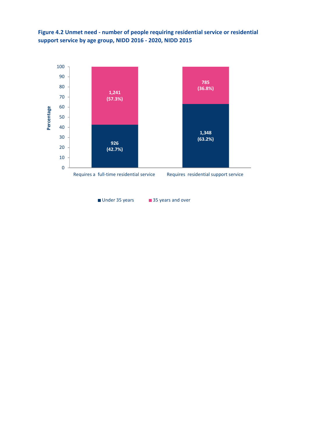**Figure 4.2 Unmet need ‐ number of people requiring residential service or residential support service by age group, NIDD 2016 ‐ 2020, NIDD 2015**



■ Under 35 years 35 years and over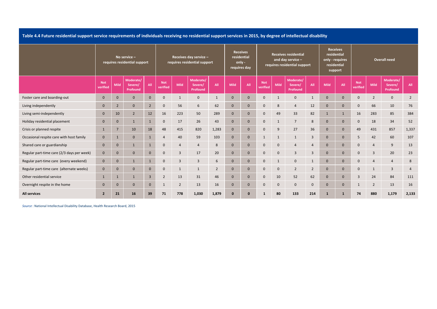Table 4.4 Future residential support service requirements of individuals receiving no residential support services in 2015, by degree of intellectual disability

|                                            |                        | No service $-$<br>requires residential support |                                  |                |                        |                | Receives day service -<br>requires residential support |                |              | <b>Receives</b><br>residential<br>only -<br>requires day |                        |                | <b>Receives residential</b><br>and day service -<br>requires residential support |                | <b>Receives</b><br>residential<br>only - requires<br>residential<br>support |              |                        |                | <b>Overall need</b>              |                |
|--------------------------------------------|------------------------|------------------------------------------------|----------------------------------|----------------|------------------------|----------------|--------------------------------------------------------|----------------|--------------|----------------------------------------------------------|------------------------|----------------|----------------------------------------------------------------------------------|----------------|-----------------------------------------------------------------------------|--------------|------------------------|----------------|----------------------------------|----------------|
|                                            | <b>Not</b><br>verified | Mild                                           | Moderate/<br>Severe/<br>Profound | All            | <b>Not</b><br>verified | <b>Mild</b>    | Moderate/<br>Severe/<br>Profound                       | All            | <b>Mild</b>  | All                                                      | <b>Not</b><br>verified | <b>Mild</b>    | Moderate/<br>Severe/<br>Profound                                                 | All            | <b>Mild</b>                                                                 | All          | <b>Not</b><br>verified | <b>Mild</b>    | Moderate/<br>Severe/<br>Profound | All            |
| Foster care and boarding-out               | $\mathbf{0}$           | $\mathbf{0}$                                   | $\mathbf{0}$                     | $\mathbf{0}$   | $\mathbf 0$            | 1              | $\mathbf 0$                                            |                | $\mathbf{0}$ | $\mathbf{0}$                                             | $\Omega$               | $\mathbf{1}$   | $\Omega$                                                                         |                | $\Omega$                                                                    | $\Omega$     | $\Omega$               | $\overline{2}$ | $\mathbf 0$                      | $\overline{2}$ |
| Living independently                       | $\mathbf{0}$           | $\overline{2}$                                 | $\mathbf{0}$                     | $\overline{2}$ | $\mathbf 0$            | 56             | 6                                                      | 62             | $\mathbf{0}$ | $\mathbf{0}$                                             | $\mathbf{0}$           | 8              | $\overline{4}$                                                                   | 12             | $\mathbf{0}$                                                                | $\Omega$     | $\mathbf 0$            | 66             | 10                               | 76             |
| Living semi-independently                  | $\mathbf{0}$           | 10                                             | $\overline{2}$                   | 12             | 16                     | 223            | 50                                                     | 289            | $\mathbf{0}$ | $\mathbf{0}$                                             | $\mathbf{0}$           | 49             | 33                                                                               | 82             |                                                                             |              | 16                     | 283            | 85                               | 384            |
| Holiday residential placement              | $\mathbf{0}$           | $\mathbf{0}$                                   | $\mathbf{1}$                     | $\mathbf{1}$   | $\mathbf 0$            | 17             | 26                                                     | 43             | $\mathbf{0}$ | $\mathbf{0}$                                             | $\mathbf 0$            | $\mathbf{1}$   | $\overline{7}$                                                                   | 8              | $\Omega$                                                                    | $\Omega$     | $\Omega$               | 18             | 34                               | 52             |
| Crisis or planned respite                  | $\mathbf{1}$           | $7\overline{ }$                                | 10                               | 18             | 48                     | 415            | 820                                                    | 1,283          | $\mathbf{0}$ | $\mathbf{0}$                                             | $\mathbf{0}$           | 9              | 27                                                                               | 36             | $\Omega$                                                                    | $\Omega$     | 49                     | 431            | 857                              | 1,337          |
| Occasional respite care with host family   | $\mathbf{0}$           | $\mathbf{1}$                                   | $\mathbf{0}$                     | $\mathbf{1}$   | $\overline{4}$         | 40             | 59                                                     | 103            | $\mathbf{0}$ | $\mathbf{0}$                                             | $\mathbf{1}$           | $\mathbf{1}$   | $\mathbf{1}$                                                                     | 3              | $\mathbf{0}$                                                                | $\mathbf{0}$ | 5                      | 42             | 60                               | 107            |
| Shared care or guardianship                | $\mathbf{0}$           | $\mathbf{0}$                                   | $\mathbf{1}$                     | $\mathbf{1}$   | $\mathbf 0$            | $\overline{4}$ | $\overline{4}$                                         | 8              | $\mathbf{0}$ | $\mathbf{0}$                                             | $\mathbf{0}$           | $\overline{0}$ | $\boldsymbol{\Delta}$                                                            | $\overline{a}$ | $\mathbf{0}$                                                                | $\mathbf{0}$ | $\Omega$               | $\overline{4}$ | 9                                | 13             |
| Regular part-time care (2/3 days per week) | $\mathbf{0}$           | $\mathbf{0}$                                   | $\mathbf{0}$                     | $\mathbf{0}$   | $\mathbf 0$            | $\overline{3}$ | 17                                                     | 20             | $\mathbf{0}$ | $\mathbf{0}$                                             | $\mathbf{0}$           | $\overline{0}$ | 3                                                                                | 3              | $\Omega$                                                                    |              | $\Omega$               | 3              | 20                               | 23             |
| Regular part-time care (every weekend)     | $\mathbf{0}$           | $\mathbf{0}$                                   | $\mathbf{1}$                     | $\mathbf{1}$   | $\mathbf{0}$           | $\overline{3}$ | $\overline{3}$                                         | 6              | $\mathbf{0}$ | $\mathbf{0}$                                             | $\mathbf{0}$           | $\mathbf{1}$   | $\mathbf{0}$                                                                     |                | $\Omega$                                                                    | $\Omega$     | $\Omega$               | $\overline{4}$ | $\overline{a}$                   | 8              |
| Regular part-time care (alternate weeks)   | $\mathbf{0}$           | $\mathbf{0}$                                   | $\mathbf{0}$                     | $\mathbf{0}$   | $\mathbf{0}$           | $\mathbf{1}$   | $\mathbf{1}$                                           | $\overline{2}$ | $\mathbf{0}$ | $\mathbf{0}$                                             | $\mathbf{0}$           | $\overline{0}$ | $\overline{2}$                                                                   | $\overline{2}$ | $\Omega$                                                                    | $\Omega$     | $\mathbf{0}$           | -1             | 3                                | $\overline{4}$ |
| Other residential service                  | $\mathbf{1}$           | $\mathbf{1}$                                   | $\mathbf{1}$                     | $\overline{3}$ | $\overline{2}$         | 13             | 31                                                     | 46             | $\mathbf{0}$ | $\mathbf{0}$                                             | $\mathbf{0}$           | 10             | 52                                                                               | 62             | $\Omega$                                                                    | $\Omega$     | 3                      | 24             | 84                               | 111            |
| Overnight respite in the home              | $\mathbf{0}$           | $\mathbf{0}$                                   | $\mathbf{0}$                     | $\mathbf{0}$   | $\mathbf{1}$           | $\overline{2}$ | 13                                                     | 16             | $\mathbf{0}$ | $\mathbf{0}$                                             | $\mathbf{0}$           | $\overline{0}$ | $\mathbf{0}$                                                                     | $\mathbf{0}$   | $\Omega$                                                                    | $\mathbf{0}$ |                        | $\overline{2}$ | 13                               | 16             |
| <b>All services</b>                        | $\overline{2}$         | 21                                             | 16                               | 39             | 71                     | 778            | 1,030                                                  | 1,879          | $\mathbf{0}$ | $\Omega$                                                 | $\mathbf 1$            | 80             | 133                                                                              | 214            |                                                                             |              | 74                     | 880            | 1,179                            | 2,133          |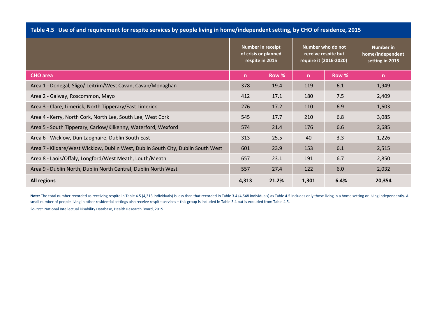| Table 4.5 Use of and requirement for respite services by people living in home/independent setting, by CHO of residence, 2015 |                                      |                      |                        |                                          |                                                         |
|-------------------------------------------------------------------------------------------------------------------------------|--------------------------------------|----------------------|------------------------|------------------------------------------|---------------------------------------------------------|
|                                                                                                                               | Number in receipt<br>respite in 2015 | of crisis or planned | require it (2016-2020) | Number who do not<br>receive respite but | <b>Number in</b><br>home/independent<br>setting in 2015 |
| <b>CHO</b> area                                                                                                               | n                                    | Row %                | n.                     | Row %                                    | n                                                       |
| Area 1 - Donegal, Sligo/ Leitrim/West Cavan, Cavan/Monaghan                                                                   | 378                                  | 19.4                 | 119                    | 6.1                                      | 1,949                                                   |
| Area 2 - Galway, Roscommon, Mayo                                                                                              | 412                                  | 17.1                 | 180                    | 7.5                                      | 2,409                                                   |
| Area 3 - Clare, Limerick, North Tipperary/East Limerick                                                                       | 276                                  | 17.2                 | 110                    | 6.9                                      | 1,603                                                   |
| Area 4 - Kerry, North Cork, North Lee, South Lee, West Cork                                                                   | 545                                  | 17.7                 | 210                    | 6.8                                      | 3,085                                                   |
| Area 5 - South Tipperary, Carlow/Kilkenny, Waterford, Wexford                                                                 | 574                                  | 21.4                 | 176                    | 6.6                                      | 2,685                                                   |
| Area 6 - Wicklow, Dun Laoghaire, Dublin South East                                                                            | 313                                  | 25.5                 | 40                     | 3.3                                      | 1,226                                                   |
| Area 7 - Kildare/West Wicklow, Dublin West, Dublin South City, Dublin South West                                              | 601                                  | 23.9                 | 153                    | 6.1                                      | 2,515                                                   |
| Area 8 - Laois/Offaly, Longford/West Meath, Louth/Meath                                                                       | 657                                  | 23.1                 | 191                    | 6.7                                      | 2,850                                                   |
| Area 9 - Dublin North, Dublin North Central, Dublin North West                                                                | 557                                  | 27.4                 | 122                    | 6.0                                      | 2,032                                                   |
| <b>All regions</b>                                                                                                            | 4,313                                | 21.2%                | 1,301                  | 6.4%                                     | 20,354                                                  |

Note: The total number recorded as receiving respite in Table 4.5 (4,313 individuals) is less than that recorded in Table 3.4 (4,548 individuals) as Table 4.5 includes only those living in a home setting or living independ small number of people living in other residential settings also receive respite services – this group is included in Table 3.4 but is excluded from Table 4.5.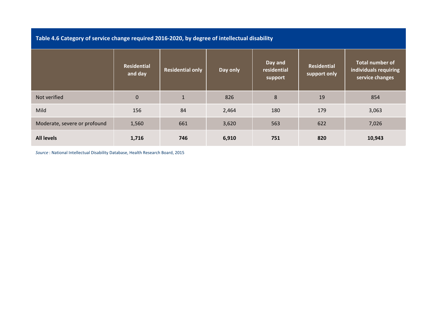| Table 4.6 Category of service change required 2016-2020, by degree of intellectual disability |  |
|-----------------------------------------------------------------------------------------------|--|
|-----------------------------------------------------------------------------------------------|--|

|                              | <b>Residential</b><br>and day | <b>Residential only</b> | Day only | Day and<br>residential<br>support | <b>Residential</b><br>support only | <b>Total number of</b><br>individuals requiring<br>service changes |
|------------------------------|-------------------------------|-------------------------|----------|-----------------------------------|------------------------------------|--------------------------------------------------------------------|
| Not verified                 | $\mathbf{0}$                  | $\mathbf{1}$            | 826      | $\,8\,$                           | 19                                 | 854                                                                |
| Mild                         | 156                           | 84                      | 2,464    | 180                               | 179                                | 3,063                                                              |
| Moderate, severe or profound | 1,560                         | 661                     | 3,620    | 563                               | 622                                | 7,026                                                              |
| <b>All levels</b>            | 1,716                         | 746                     | 6,910    | 751                               | 820                                | 10,943                                                             |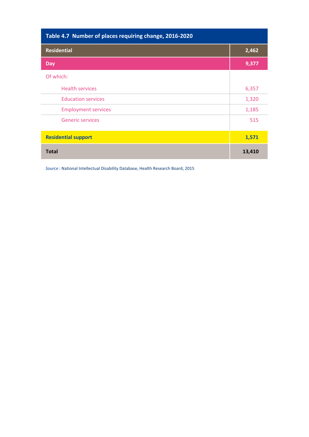| Table 4.7 Number of places requiring change, 2016-2020 |        |
|--------------------------------------------------------|--------|
| <b>Residential</b>                                     | 2,462  |
| Day                                                    | 9,377  |
| Of which:                                              |        |
| <b>Health services</b>                                 | 6,357  |
| <b>Education services</b>                              | 1,320  |
| <b>Employment services</b>                             | 1,185  |
| <b>Generic services</b>                                | 515    |
| <b>Residential support</b>                             | 1,571  |
| <b>Total</b>                                           | 13,410 |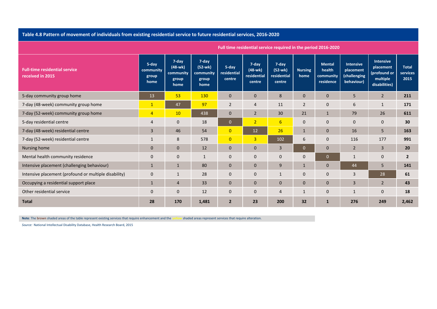### Table 4.8 Pattern of movement of individuals from existing residential service to future residential services, 2016-2020

|                                                          |                                     |                                                  |                                                  |                                |                                             | <b>Full time residential service required in the period 2016-2020</b> |                        |                                                   |                                                             |                                                                            |                                  |
|----------------------------------------------------------|-------------------------------------|--------------------------------------------------|--------------------------------------------------|--------------------------------|---------------------------------------------|-----------------------------------------------------------------------|------------------------|---------------------------------------------------|-------------------------------------------------------------|----------------------------------------------------------------------------|----------------------------------|
| <b>Full-time residential service</b><br>received in 2015 | 5-day<br>community<br>group<br>home | 7-day<br>$(48-wk)$<br>community<br>group<br>home | 7-day<br>$(52-wk)$<br>community<br>group<br>home | 5-day<br>residential<br>centre | 7-day<br>$(48-wk)$<br>residential<br>centre | 7-day<br>(52-wk)<br>residential<br>centre                             | <b>Nursing</b><br>home | <b>Mental</b><br>health<br>community<br>residence | <b>Intensive</b><br>placement<br>(challenging<br>behaviour) | <b>Intensive</b><br>placement<br>(profound or<br>multiple<br>disabilities) | <b>Total</b><br>services<br>2015 |
| 5-day community group home                               | 13                                  | 53                                               | 130                                              | $\mathbf{0}$                   | $\mathbf{0}$                                | 8                                                                     | $\mathbf{0}$           | $\overline{0}$                                    | 5                                                           | $\overline{2}$                                                             | 211                              |
| 7-day (48-week) community group home                     | $\mathbf{1}$                        | 47                                               | 97                                               | $\overline{2}$                 | $\overline{4}$                              | 11                                                                    | $\overline{2}$         | $\mathbf{0}$                                      | 6                                                           | $\mathbf{1}$                                                               | 171                              |
| 7-day (52-week) community group home                     | $\overline{4}$                      | 10                                               | 438                                              | $\mathbf{0}$                   | $\overline{2}$                              | 30                                                                    | 21                     | $\mathbf{1}$                                      | 79                                                          | 26                                                                         | 611                              |
| 5-day residential centre                                 | $\overline{4}$                      | $\mathbf{0}$                                     | 18                                               | $\mathbf{0}$                   | 2 <sup>1</sup>                              | 6                                                                     | $\mathbf 0$            | $\mathbf{0}$                                      | $\mathbf 0$                                                 | $\mathbf 0$                                                                | 30                               |
| 7-day (48-week) residential centre                       | 3                                   | 46                                               | 54                                               | $\overline{0}$                 | 12                                          | 26                                                                    | $\mathbf{1}$           | $\mathbf{0}$                                      | 16                                                          | 5                                                                          | 163                              |
| 7-day (52-week) residential centre                       | $\mathbf{1}$                        | 8                                                | 578                                              | $\overline{0}$                 | $\overline{3}$                              | 102                                                                   | 6                      | $\overline{0}$                                    | 116                                                         | 177                                                                        | 991                              |
| Nursing home                                             | $\mathbf{0}$                        | $\mathbf{0}$                                     | 12                                               | $\mathbf{0}$                   | $\mathbf{0}$                                | 3                                                                     | $\mathbf{0}$           | $\mathbf{0}$                                      | $\overline{2}$                                              | $\overline{3}$                                                             | 20                               |
| Mental health community residence                        | $\mathbf{0}$                        | $\mathbf{0}$                                     | $\mathbf{1}$                                     | $\mathbf{0}$                   | $\mathbf 0$                                 | $\mathbf{0}$                                                          | $\mathbf 0$            | $\overline{0}$                                    |                                                             | $\mathbf{0}$                                                               | $\overline{2}$                   |
| Intensive placement (challenging behaviour)              | 1                                   | $\mathbf{1}$                                     | 80                                               | $\mathbf{0}$                   | $\mathbf{0}$                                | 9                                                                     | $\mathbf{1}$           | $\overline{0}$                                    | 44                                                          | 5                                                                          | 141                              |
| Intensive placement (profound or multiple disability)    | $\mathbf 0$                         | $\mathbf{1}$                                     | 28                                               | $\mathbf{0}$                   | $\mathbf 0$                                 | $\mathbf{1}$                                                          | $\mathbf{0}$           | $\mathbf{0}$                                      | 3                                                           | 28                                                                         | 61                               |
| Occupying a residential support place                    | $\mathbf{1}$                        | 4                                                | 33                                               | $\mathbf{0}$                   | $\mathbf{0}$                                | $\mathbf{0}$                                                          | $\mathbf{0}$           | $\mathbf{0}$                                      | 3                                                           | $\overline{2}$                                                             | 43                               |
| Other residential service                                | $\mathbf 0$                         | $\mathbf{0}$                                     | 12                                               | $\mathbf 0$                    | $\mathbf 0$                                 | 4                                                                     | $\mathbf{1}$           | $\mathbf 0$                                       | 1                                                           | $\mathbf 0$                                                                | 18                               |
| <b>Total</b>                                             | 28                                  | 170                                              | 1,481                                            | $\overline{2}$                 | 23                                          | 200                                                                   | 32                     | $\mathbf{1}$                                      | 276                                                         | 249                                                                        | 2,462                            |

**Full timeresidential service required in the period 2016‐2020**

**Note**: The **brown** shaded areas of the table represent existing services that require enhancement and the **yellow** shaded areas represent services that require alteration.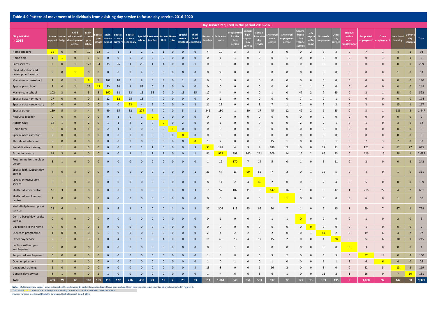#### Table 4.9 Pattern of movement of individuals from exisiting day service to future day service, 2016-2020

|                                           | Day service required in the period 2016-2020 |                         |                                             |                         |                 |                 |                          |                                                  |                          |                                   |                |                         |                                      |                              |                |                   |                            |                         |                         |                 |                                |                |                         |                     |                      |                                            |                         |                  |                         |                |                |
|-------------------------------------------|----------------------------------------------|-------------------------|---------------------------------------------|-------------------------|-----------------|-----------------|--------------------------|--------------------------------------------------|--------------------------|-----------------------------------|----------------|-------------------------|--------------------------------------|------------------------------|----------------|-------------------|----------------------------|-------------------------|-------------------------|-----------------|--------------------------------|----------------|-------------------------|---------------------|----------------------|--------------------------------------------|-------------------------|------------------|-------------------------|----------------|----------------|
| Day service<br>in 2015                    | Home<br>support                              | ome<br>help             | Child<br>ducation &<br>levelopmen<br>centre | trean<br>pre-<br>school | pre-<br>school  | Main-<br>stream | <b>Special</b><br>class- | Special<br>$class -$<br>school primary secondary | <b>Special</b><br>school | <b>Resource Autism</b><br>teacher |                | Home<br>Unit tutor      | <b>Special</b><br>needs<br>assistant | Third-<br>level<br>education |                | Activat<br>centre | for the<br>older<br>persoi | day                     | day<br>ervi             | worl<br>centre  | Sheltered<br>npioyme<br>centre | day<br>espite  | in th                   | Outreach<br>rogramı | Othe<br>day<br>ervic | <b>Enclave</b><br>within<br>open<br>nploym | Supported<br>employment | Open<br>employme | ocatio<br>training      | day<br>ervices | Total          |
| Home support                              | 16                                           | $\overline{0}$          | $\overline{0}$                              | 10                      | 12              | $\mathbf{1}$    | $\mathbf{1}$             | $\mathbf{1}$                                     | $\overline{2}$           | $\mathbf{0}$                      | $\mathbf{1}$   | $\overline{0}$          | $\mathbf 0$                          | $\overline{0}$               | $\overline{4}$ | 10                | $\overline{\mathbf{3}}$    | $\overline{\mathbf{3}}$ | 5                       | $\overline{3}$  | $\overline{0}$                 | $\mathbf 0$    | $\overline{2}$          | $\overline{3}$      | $\overline{3}$       | $\mathbf{0}$                               | $\overline{7}$          | $\overline{1}$   | $\overline{4}$          | $\mathbf{1}$   | 93             |
| Home help                                 | $\mathbf{1}$                                 | $\mathbf{1}$            | $\overline{0}$                              | $\mathbf{1}$            | $\bf{0}$        | $\mathbf{0}$    | $\overline{0}$           | $\Omega$                                         | $\mathbf{0}$             | $\mathbf{0}$                      | $\mathbf{0}$   | $\mathbf{0}$            | $\mathbf{0}$                         | $\mathbf{0}$                 | $\Omega$       | -1                | $\mathbf{1}$               | $\Omega$                | $\Omega$                | $\Omega$        | -1                             | $\Omega$       | $\Omega$                | $\Omega$            | $\Omega$             | $\Omega$                                   | $\Omega$                | $\mathbf{1}$     | $\mathbf{0}$            | -1             | $\,$ 8         |
| Early services                            | $\overline{2}$                               | $\mathbf{0}$            | $\mathbf{1}$                                | 127                     | 84              | 35              | 26                       | $\mathbf{1}$                                     | 20                       | $\mathbf{1}$                      | $\mathbf{1}$   | $\pmb{0}$               | $\pmb{0}$                            | $\mathbf{1}$                 | $\mathbf 0$    | $\mathbf 0$       | $\Omega$                   | 0                       | $\mathbf 0$             | $\mathbf 0$     | $\mathbf 0$                    | $\Omega$       | $\mathbf 0$             | $\mathbf 0$         | 0                    | $\Omega$                                   | $\Omega$                | $\Omega$         | $\bf{0}$                | $\mathbf{0}$   | 299            |
| Child education and<br>development centre | 9                                            | $\mathbf{0}$            | $\mathbf{1}$                                | $\bf{0}$                | $\mathbf{0}$    | $\mathbf{0}$    | $\overline{\mathbf{0}}$  | $\mathbf 0$                                      | $\overline{4}$           | $\mathbf{0}$                      | $\mathbf 0$    | $\overline{0}$          | $\mathbf 0$                          | $\mathbf{0}$                 | 0              | 38                | $\mathbf{0}$               | 0                       | 0                       | $\mathbf 0$     | $\mathbf 0$                    | $\mathbf 0$    | $\mathbf 0$             | 0                   | 0                    | $\mathbf{0}$                               | $\mathbf{0}$            | $\mathbf{0}$     | $\mathbf{1}$            | $\mathbf{0}$   | 53             |
| Mainstream pre-school                     | $\mathbf{1}$                                 | $\mathbf 0$             | $\mathbf{1}$                                | 8                       | $5\phantom{.0}$ | 102             | 10                       | $\mathbf 0$                                      | 8                        | $\mathbf 0$                       | $\overline{4}$ | $\mathbf 0$             | 1                                    | $\mathbf 0$                  | $\mathbf 0$    | $\mathbf 0$       | $\Omega$                   | $\Omega$                | $\mathbf 0$             | 0               | 0                              | $\Omega$       | $\Omega$                | $\mathbf 0$         | 0                    | $\Omega$                                   |                         | $\Omega$         | $\bf{0}$                | $\mathbf{0}$   | 140            |
| Special pre-school                        | 8                                            | $\mathbf{0}$            | $\overline{2}$                              | 25                      | 43              | 50              | 34                       | $\mathbf{1}$                                     | 82                       | $\mathbf{0}$                      | $\overline{2}$ | $\mathbf{0}$            | $\mathbf 0$                          | $\mathbf 0$                  | $\mathbf 0$    | $\mathbf 0$       |                            | 0                       | $\mathbf 0$             | $\mathbf 0$     | $\mathbf 0$                    |                |                         | 0                   | 0                    |                                            |                         | $\mathbf{0}$     | $\mathbf{0}$            | $\mathbf 0$    | 249            |
| Mainstream school                         | 102                                          | $\overline{\mathbf{3}}$ | $\mathbf{0}$                                | 5                       | $\overline{5}$  | 160             | 18                       | 63                                               | 15                       | 55                                | $\overline{2}$ | $\mathbf 0$             | 15                                   | 15                           | 17             | $\overline{4}$    |                            | $\mathbf 0$             | $\mathbf 0$             | -1              | $\mathbf 0$                    | 47             | $\overline{2}$          |                     | 25                   | $\Omega$                                   |                         | -1               | 28                      | $\mathbf{0}$   | 592            |
| Special class - primary                   | 27                                           | $\mathbf 0$             | $\overline{0}$                              | $\mathbf{0}$            | $\mathbf{1}$    | 12              | 12                       | 95                                               | 13                       | $\overline{4}$                    | $\mathbf 0$    | $\mathbf{0}$            | $\mathbf 0$                          | $\overline{0}$               | $\mathbf 0$    | $\mathbf{1}$      | $\Omega$                   | $\Omega$                | $\mathbf 0$             | $\mathbf 0$     | 0                              | $\overline{7}$ | -1                      | 0                   | $\mathbf{1}$         | $\Omega$                                   |                         | $\Omega$         | $\bf{0}$                | $\mathbf{0}$   | 174            |
| Special class - secondary                 | 10                                           | $\overline{0}$          | $\overline{0}$                              | $\mathbf{0}$            | $\mathbf{0}$    | 5               | $\overline{\mathbf{0}}$  | 13                                               | $\overline{4}$           | $\overline{2}$                    | $\mathbf 0$    | $\overline{0}$          | $\mathbf 0$                          | $\overline{2}$               | 21             | 25                | $\mathbf{0}$               | 0                       | 3                       | 7               | -1                             | -2             | 0                       | $\overline{2}$      | $\overline{2}$       | 0                                          |                         | $\mathbf{0}$     | 15                      | 1              | 117            |
| Special school                            | 139                                          | 5                       | $\overline{3}$                              | $\overline{4}$          | $\overline{7}$  | 39              | 15                       | 32                                               | 274                      | $\overline{7}$                    | $\mathbf{0}$   | $\mathbf 0$             | 5                                    | <sup>1</sup>                 | 346            | 180               | -1                         | 30                      | 17                      | 45              | 12                             | 49             | $\overline{2}$          | -1                  | 35                   |                                            |                         | $\mathbf{1}$     | 186                     | 8              | 1,447          |
| Resource teacher                          | $\mathbf 0$                                  | $\mathbf{0}$            | $\mathbf{0}$                                | $\mathbf{0}$            | $\mathbf{0}$    | $\mathbf{0}$    | $\mathbf{1}$             | $\mathbf 0$                                      | $\mathbf{1}$             | $\overline{0}$                    | $\mathbf 0$    | $\mathbf 0$             | $\mathbf 0$                          | $\mathbf{0}$                 | $\mathbf 0$    | $\mathbf 0$       | $\Omega$                   | 0                       | $\mathbf 0$             | 0               | $\Omega$                       | $\Omega$       | $\Omega$                | $\Omega$            | 0                    | $\Omega$                                   |                         | $\Omega$         | $\mathbf{0}$            | $\mathbf{0}$   | $\overline{2}$ |
| <b>Autism Unit</b>                        | 18                                           | $\mathbf{1}$            | $\overline{0}$                              | $\overline{2}$          | $\mathbf{0}$    | 1               | $\mathbf{1}$             | 8                                                | $\overline{2}$           | $\mathbf{0}$                      |                | $\mathbf 0$             | $\overline{2}$                       | $\mathbf 0$                  | $\mathbf 0$    | 1                 | $\Omega$                   | $\mathbf 0$             | $\mathbf 0$             | $\mathbf{0}$    | $\mathbf{0}$                   | $\overline{2}$ | 0                       | 2                   | 1                    | $\mathbf{0}$                               |                         | $\mathbf{0}$     | $\overline{\mathbf{3}}$ | $\mathbf{0}$   | 52             |
| Home tutor                                | $\mathbf 0$                                  | $\overline{0}$          | $\mathbf{0}$                                | $\mathbf{1}$            | $\mathbf{0}$    | $\overline{2}$  | 1                        | $\mathbf{0}$                                     | $\mathbf{0}$             | $\mathbf{0}$                      | $\mathbf{0}$   | $\mathbf{1}$            | $\mathbf{0}$                         | $\mathbf{0}$                 | $\mathbf 0$    | $\overline{0}$    | $\Omega$                   | $\mathbf 0$             | $\mathbf 0$             | $\mathbf{0}$    | $\mathbf 0$                    | $\mathbf 0$    | $\mathbf 0$             | $\mathbf 0$         | $\mathbf 0$          | $\Omega$                                   |                         | $\mathbf{0}$     | $\mathbf{0}$            | $\mathbf{0}$   | 5              |
| Special needs assistant                   | $\mathbf 0$                                  | $\mathbf{0}$            | $\overline{0}$                              | $\bf{0}$                | $\mathbf 0$     | $\mathbf{0}$    | $\mathbf{0}$             | $\mathbf 0$                                      | $\mathbf 0$              | $\mathbf 0$                       | $\mathbf 0$    | $\overline{0}$          | $\overline{\mathbf{0}}$              | $\mathbf 0$                  | $\mathbf 0$    | $\mathbf 0$       | $\Omega$                   | $\Omega$                | $\mathbf 0$             | $\mathbf 0$     | $\overline{0}$                 | $\Omega$       | 0                       | 0                   | 0                    | $\Omega$                                   |                         | $\Omega$         | $\bf{0}$                | $\mathbf{0}$   | $\overline{0}$ |
| Third-level education                     | $\mathbf{0}$                                 | $\overline{0}$          | $\mathbf{0}$                                | $\mathbf{0}$            | $\mathbf{0}$    | $\mathbf{0}$    | $\mathbf{0}$             | $\mathbf{0}$                                     | $\mathbf{0}$             | $\mathbf{0}$                      | $\mathbf{0}$   | $\mathbf 0$             | $\mathbf 0$                          | $\overline{\mathbf{0}}$      | 1              | $\overline{2}$    | $\mathbf{0}$               | $\mathbf 0$             | $\mathbf 0$             | 15              | -1                             | 0              | $\mathbf 0$             | $\mathbf 0$         | -1                   | $\mathbf{0}$                               |                         | 3                | $\overline{7}$          | $\mathbf{0}$   | 37             |
| Rehabilitative training                   | $\overline{4}$                               | $\mathbf{1}$            | $\overline{0}$                              | $\mathbf{0}$            | $\mathbf{0}$    | $\mathbf{0}$    | $\overline{0}$           | $\mathbf{0}$                                     | 1                        | $\mathbf{1}$                      | $\mathbf{0}$   | $\mathbf 0$             | $\mathbf 0$                          | $\overline{\mathbf{3}}$      | 33             | 128               | $\overline{4}$             | $\overline{\mathbf{3}}$ | $\overline{7}$          | 189             | 9                              | $\Omega$       | $\mathbf 0$             | 17                  | 11                   | $\Omega$                                   | 121                     | $\overline{4}$   | 82                      | 27             | 645            |
| <b>Activation centre</b>                  | 61                                           | $\overline{\mathbf{3}}$ | $\overline{0}$                              | $\mathbf{0}$            | $\mathbf{0}$    | $\mathbf{0}$    | $\mathbf{0}$             | 1                                                | $\mathbf{1}$             | 1                                 | $\mathbf{1}$   | $\overline{0}$          | $\mathbf 0$                          | $\mathbf{1}$                 | 81             | 973               | 398                        | 140                     | 211                     | 209             | 14                             | 16             | -2                      | 66                  | 33                   | 0                                          | 426                     | 15               | 28                      | $\mathbf{1}$   | 2,682          |
| Programme for the older<br>person         | $\overline{3}$                               | $\mathbf{1}$            | $\overline{0}$                              | $\bf{0}$                | $\mathbf{0}$    | $\mathbf{0}$    | $\mathbf{0}$             | $\mathbf 0$                                      | $\mathbf{0}$             | $\mathbf{0}$                      | $\mathbf 0$    | $\overline{0}$          | $\mathbf 0$                          | $\mathbf 0$                  | 1              | 19                | 170                        | 7                       | 14                      | 5               | $\mathbf 0$                    | 1              | $\mathbf 0$             | 5                   | 11                   | $\mathbf{0}$                               | 2                       | $\mathbf{0}$     | $\mathbf{0}$            | 3              | 242            |
| Special high-support day<br>service       | $\overline{4}$                               | $\mathbf{0}$            | $\overline{\mathbf{3}}$                     | $\mathbf{0}$            | $\mathbf{0}$    | $\mathbf{0}$    | $\mathbf{0}$             | $\mathbf{0}$                                     | $\mathbf 0$              | $\mathbf{0}$                      | $\mathbf 0$    | $\overline{\mathbf{0}}$ | $\mathbf 0$                          | $\mathbf{1}$                 | 26             | 44                | 13                         | 99                      | 86                      | $\overline{7}$  | $\overline{2}$                 | $\mathbf 0$    | 1                       | 15                  | 5                    | $\mathbf{0}$                               | $\overline{4}$          | $\overline{0}$   | $\mathbf{1}$            | $\mathbf 0$    | 311            |
| Special intensive day<br>service          | $6\phantom{.}6$                              | $\mathbf{1}$            | $\mathbf{0}$                                | $\overline{0}$          | $\overline{0}$  | $\mathbf{0}$    | $\mathbf{0}$             | $\mathbf{0}$                                     | $\overline{0}$           | $\mathbf{0}$                      | $\mathbf{0}$   | $\mathbf{0}$            | $\mathbf{0}$                         | $\mathbf{0}$                 | 8              | 14                | $\overline{2}$             | $\overline{4}$          | <b>60</b>               | 2               | $\overline{0}$                 | $\mathbf 0$    | 1                       | $\overline{2}$      | $\overline{4}$       | $\Omega$                                   | - 5                     | $\mathbf{0}$     | $\mathbf{0}$            | $\overline{0}$ | 109            |
| Sheltered work centre                     | 10                                           | $\overline{\mathbf{3}}$ | $\overline{0}$                              | $\mathbf 0$             | $\bf{0}$        | $\mathbf{0}$    | $\mathbf{0}$             | $\mathbf 0$                                      | $\mathbf{0}$             | $\mathbf{0}$                      | $\mathbf 0$    | $\mathbf 0$             | $\mathbf 0$                          | $\overline{\mathbf{3}}$      | 7              | 57                | 102                        | 11                      | 8                       | 147             | 16                             | 1              | $\mathbf 0$             | 9                   | 12                   | $\mathbf{1}$                               | 216                     | 22               | $\overline{4}$          | $\overline{2}$ | 631            |
| Sheltered employment<br>centre            | $\mathbf{1}$                                 | $\mathbf{0}$            | $\overline{0}$                              | $\mathbf{0}$            | $\mathbf{0}$    | $\mathbf{0}$    | $\overline{\mathbf{0}}$  | $\mathbf 0$                                      | $\mathbf{0}$             | $\mathbf{0}$                      | $\mathbf 0$    | $\overline{0}$          | $\mathbf 0$                          | $\mathbf{0}$                 | $\mathbf 0$    | $\mathbf 0$       | $\mathbf{0}$               | $\mathbf 0$             | 0                       | 1               | $\mathbf{1}$                   | $\mathbf 0$    | $\overline{0}$          | 0                   | 0                    | $\mathbf{0}$                               | -6                      | $\mathbf{0}$     | $\mathbf{1}$            | $\overline{0}$ | 10             |
| Multidisciplinary support<br>services     | 22                                           | 6                       | $\mathbf{1}$                                | $\overline{2}$          | -3              | 9               | $\overline{4}$           | 1                                                | $\overline{2}$           | $\mathbf{0}$                      | $\mathbf{0}$   | $\mathbf{1}$            | $\mathbf 0$                          | $\overline{\mathbf{3}}$      | 37             | 304               | 113                        | 45                      | 66                      | 20              | 7                              |                | 0                       | 2                   | 15                   |                                            | 59                      | $\overline{7}$   | 47                      |                | 779            |
| Centre-based day respite<br>service       | $\mathbf{0}$                                 | $\mathbf{0}$            | $\overline{0}$                              | $\mathbf{0}$            | $\overline{0}$  | $\mathbf{0}$    | $\mathbf{0}$             | $\mathbf{0}$                                     | $\mathbf{0}$             | $\mathbf{0}$                      | $\mathbf{0}$   | $\mathbf{0}$            | $\mathbf{0}$                         | $\mathbf{0}$                 | $\mathbf 0$    | 1                 | $\Omega$                   | $\mathbf 0$             | $\mathbf 0$             | 1               | 1                              | $\Omega$       | $\mathbf 0$             | $\mathbf 0$         | $\mathbf 0$          | $\Omega$                                   |                         | $\mathbf{0}$     | $\overline{2}$          | $\overline{0}$ | 6              |
| Day respite in the home                   | $\bf{0}$                                     | $\mathbf 0$             | $\overline{0}$                              | $\mathbf{0}$            | $\mathbf{1}$    | $\mathbf{0}$    | $\mathbf{0}$             | $\mathbf{0}$                                     | $\mathbf{0}$             | $\mathbf{0}$                      | $\mathbf{0}$   | $\mathbf{0}$            | $\overline{0}$                       | $\mathbf{0}$                 | $\mathbf 0$    | $\mathbf 0$       | $\Omega$                   | 0                       | 0                       | $\mathbf 0$     | $\mathbf 0$                    | $\mathbf 0$    | $\overline{\mathbf{0}}$ | $\overline{0}$      | 0                    | $\Omega$                                   | $\mathbf{1}$            | $\mathbf{0}$     | $\mathbf{0}$            | $\mathbf{0}$   | $\overline{2}$ |
| Outreach programme                        | $\mathbf{1}$                                 | $\overline{0}$          | $\overline{0}$                              | $\mathbf{0}$            | $\mathbf{0}$    | 1               | $\overline{\mathbf{0}}$  | $\mathbf{0}$                                     | $\mathbf{0}$             | $\mathbf{0}$                      | $\mathbf{0}$   | $\mathbf{0}$            | $\mathbf 0$                          | $\mathbf{0}$                 | $\overline{2}$ | $\overline{4}$    | 2                          | $\overline{2}$          | -5                      | 2               | $\mathbf 0$                    | $\mathbf 0$    | 1                       | 44                  | $\overline{2}$       | $\Omega$                                   | 19                      | 6                | $\overline{4}$          | $\overline{2}$ | 97             |
| Other day service                         | $\bf 8$                                      | $\mathbf{1}$            | $\overline{0}$                              | $\overline{\mathbf{3}}$ | $\mathbf{1}$    | $\mathbf{0}$    | $\overline{4}$           | $\mathbf 0$                                      | $\mathbf{1}$             | $\mathbf 0$                       | $\mathbf{1}$   | $\overline{0}$          | $\overline{0}$                       | $\mathbf{0}$                 | 11             | 43                | 23                         | $\Delta$                | 17                      | 15              | $\overline{2}$                 | $\Omega$       | $\mathbf 0$             | $\overline{4}$      | 28                   | $\Omega$                                   | 32                      | 6                | 10                      | $\mathbf{1}$   | 215            |
| Enclave within open<br>employment         | $\mathbf{0}$                                 | $\mathbf{0}$            | $\mathbf{0}$                                | $\mathbf{0}$            | $\overline{0}$  | $\mathbf{0}$    | $\mathbf{0}$             | $\mathbf 0$                                      | $\mathbf{0}$             | $\mathbf{0}$                      | $\mathbf 0$    | $\overline{0}$          | $\mathbf 0$                          | $\mathbf{0}$                 | $\mathbf 0$    | $\mathbf 0$       | 1                          | 0                       | $\mathbf 0$             | $\mathbf 0$     | $\mathbf 0$                    | 0              | $\mathbf 0$             | $\mathbf 0$         | 0                    | $\overline{0}$                             | 3                       | $\mathbf{0}$     | $\mathbf{0}$            | $\overline{0}$ | $\overline{4}$ |
| Supported employment                      | $\mathbf{0}$                                 | $\mathbf{0}$            | $\overline{\mathbf{0}}$                     | $\bf{0}$                | $\bf{0}$        | $\mathbf{0}$    | $\overline{0}$           | $\mathbf 0$                                      | $\mathbf{0}$             | $\mathbf 0$                       | $\mathbf{0}$   | $\pmb{0}$               | $\pmb{0}$                            | $\mathbf 0$                  | $\mathbf{1}$   | $\mathbf{3}$      | 8                          | $\Omega$                | $\Omega$                | 5               | $\overline{2}$                 | $\Omega$       | $\mathbf 0$             | 5                   | $\overline{3}$       | $\mathbf{0}$                               | 57                      | 14               | $\bf{0}$                | $\overline{2}$ | 100            |
| Open employment                           | $\mathbf{1}$                                 | $\overline{2}$          | $\mathbf{0}$                                | $\mathbf{0}$            | $\mathbf{0}$    | $\mathbf{0}$    | $\mathbf{0}$             | $\mathbf{0}$                                     | $\mathbf{0}$             | $\mathbf{0}$                      | $\mathbf{0}$   | $\mathbf 0$             | $\mathbf 0$                          | $\mathbf{0}$                 | 1              | $\mathbf 0$       | -1                         | 0                       | $\mathbf 0$             | 1               | $\mathbf 0$                    | $\mathbf 0$    | 0                       | 1                   | 1                    | 2                                          | 6                       | $6\overline{6}$  | $\overline{4}$          | $\mathbf{0}$   | 26             |
| <b>Vocational training</b>                | $\mathbf{1}$                                 | $\mathbf{0}$            | $\overline{0}$                              | $\mathbf{0}$            | $\mathbf 0$     | $\mathbf{0}$    | $\mathbf{0}$             | $\mathbf{0}$                                     | $\mathbf{0}$             | $\mathbf{0}$                      | $\mathbf 0$    | $\overline{0}$          | $\mathbf 0$                          | $\overline{\mathbf{3}}$      | 13             | 8                 | $\Omega$                   | 0                       | $\mathbf{1}$            | 16              | $\overline{2}$                 | $\mathbf 0$    | $\mathbf 0$             | 3                   | $\mathbf 0$          | $\Omega$                                   | 52                      | 5                | 13                      | $\overline{2}$ | 119            |
| Generic day services                      | 8                                            | $\overline{1}$          | $\Omega$                                    | $\mathbf{0}$            | $\mathbf{1}$    | $\overline{1}$  | $\overline{0}$           | $\mathbf{0}$                                     | $\mathbf 0$              | $\mathbf{0}$                      | $\mathbf 0$    | $\overline{0}$          | $\Omega$                             | $\overline{0}$               | $\overline{1}$ | $\overline{4}$    | -6                         | 6                       | $\overline{\mathbf{3}}$ | $6\overline{6}$ | $\overline{1}$                 | $\mathbf{0}$   | $\overline{0}$          | 11                  | $\overline{2}$       | $\overline{1}$                             | 56                      | $\Omega$         | $\overline{7}$          | <b>16</b>      | 131            |
| <b>Total</b>                              | 463                                          | 29                      | $12\,$                                      | 188                     | 163             | 418             | 127                      | 216                                              | 430                      | 71                                | 19             | $\overline{2}$          | 23                                   | 33                           | 611            | 1.864             | 848                        | 354                     | 503                     | 697             | 72                             | 127            | 13                      | 199                 | 195                  |                                            | 1.088                   | 92               | 447                     | 68             | 9,377          |

Notes: Multidisciplinary support services (including those delivered by early intervention teams) have been excluded from future service requirements and are documented in Figure 4.3.

The shaded **yellow** areas of the table represent existing services that require alteration or enhancement.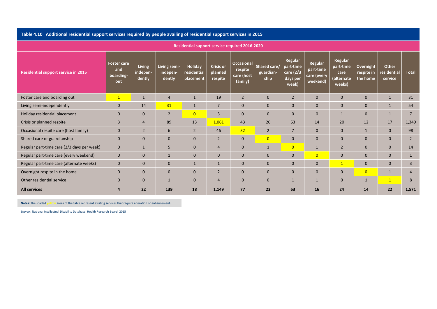Table 4.10 Additional residential support services required by people availing of residential support services in 2015

| <b>Residential support service required 2016-2020</b> |                                               |                                     |                                    |                                            |                                        |                                                       |                                   |                                                        |                                                 |                                                      |                                     |                                        |                |  |
|-------------------------------------------------------|-----------------------------------------------|-------------------------------------|------------------------------------|--------------------------------------------|----------------------------------------|-------------------------------------------------------|-----------------------------------|--------------------------------------------------------|-------------------------------------------------|------------------------------------------------------|-------------------------------------|----------------------------------------|----------------|--|
| <b>Residential support service in 2015</b>            | <b>Foster care</b><br>and<br>boarding-<br>out | <b>Living</b><br>indepen-<br>dently | Living semi-<br>indepen-<br>dently | <b>Holiday</b><br>residential<br>placement | <b>Crisis or</b><br>planned<br>respite | <b>Occasional</b><br>respite<br>care (host<br>family) | Shared care/<br>guardian-<br>ship | Regular<br>part-time<br>care (2/3<br>days per<br>week) | Regular<br>part-time<br>care (every<br>weekend) | Regular<br>part-time<br>care<br>(alternate<br>weeks) | Overnight<br>respite in<br>the home | <b>Other</b><br>residential<br>service | <b>Total</b>   |  |
| Foster care and boarding out                          | $\mathbf{1}$                                  | 1                                   | $\overline{4}$                     |                                            | 19                                     | $\overline{2}$                                        | $\mathbf{0}$                      | $\overline{2}$                                         | $\mathbf{0}$                                    | $\mathbf 0$                                          | $\mathbf{0}$                        | $\mathbf{1}$                           | 31             |  |
| Living semi-independently                             | $\overline{0}$                                | 14                                  | 31                                 | 1                                          | $\overline{7}$                         | $\mathbf{0}$                                          | $\mathbf{0}$                      | $\mathbf{0}$                                           | $\mathbf{0}$                                    | $\mathbf{0}$                                         | $\mathbf{0}$                        | $\mathbf{1}$                           | 54             |  |
| Holiday residential placement                         | $\overline{0}$                                | $\mathbf{0}$                        | $\overline{2}$                     | $\overline{0}$                             | $\overline{3}$                         | $\Omega$                                              | $\mathbf{0}$                      | $\mathbf{0}$                                           | $\Omega$                                        | 1                                                    | $\Omega$                            | $\mathbf{1}$                           | $\overline{7}$ |  |
| Crisis or planned respite                             | $\overline{3}$                                | $\overline{4}$                      | 89                                 | 13                                         | 1,061                                  | 43                                                    | 20                                | 53                                                     | 14                                              | 20                                                   | 12                                  | 17                                     | 1,349          |  |
| Occasional respite care (host family)                 | $\mathbf{0}$                                  | $\overline{2}$                      | 6                                  | $\overline{2}$                             | 46                                     | 32                                                    | $\overline{2}$                    | $7\overline{ }$                                        | $\Omega$                                        | $\mathbf{0}$                                         | $\mathbf{1}$                        | $\mathbf{0}$                           | 98             |  |
| Shared care or guardianship                           | $\overline{0}$                                | $\Omega$                            | $\mathbf{0}$                       | $\mathbf{0}$                               | $\overline{2}$                         | $\Omega$                                              | $\overline{0}$                    | $\Omega$                                               | $\mathbf{0}$                                    | $\mathbf{0}$                                         | $\Omega$                            | $\mathbf{0}$                           | $\overline{2}$ |  |
| Regular part-time care (2/3 days per week)            | $\mathbf{0}$                                  | 1                                   | 5                                  | $\mathbf{0}$                               | $\overline{4}$                         | $\mathbf{0}$                                          | $\mathbf{1}$                      | $\overline{0}$                                         | $\mathbf{1}$                                    | $\overline{2}$                                       | $\mathbf{0}$                        | $\mathbf{0}$                           | 14             |  |
| Regular part-time care (every weekend)                | $\mathbf{0}$                                  | $\mathbf{0}$                        |                                    | $\mathbf{0}$                               | $\Omega$                               | $\Omega$                                              | $\mathbf{0}$                      | $\mathbf{0}$                                           | $\overline{0}$                                  | $\mathbf{0}$                                         | $\Omega$                            | $\overline{0}$                         | $\mathbf{1}$   |  |
| Regular part-time care (alternate weeks)              | $\mathbf{0}$                                  | $\mathbf{0}$                        | $\mathbf{0}$                       |                                            | 1                                      | $\mathbf{0}$                                          | $\mathbf{0}$                      | $\mathbf{0}$                                           | $\mathbf{0}$                                    | $\overline{1}$                                       | $\mathbf{0}$                        | $\mathbf{0}$                           | 3              |  |
| Overnight respite in the home                         | $\overline{0}$                                | $\mathbf{0}$                        | $\mathbf{0}$                       | $\mathbf{0}$                               | $\overline{2}$                         | $\mathbf{0}$                                          | $\mathbf{0}$                      | $\mathbf{0}$                                           | $\mathbf{0}$                                    | $\mathbf{0}$                                         | $\overline{0}$                      | $\mathbf{1}$                           | 4              |  |
| Other residential service                             | $\mathbf{0}$                                  | $\mathbf{0}$                        |                                    | $\Omega$                                   | $\overline{a}$                         | $\Omega$                                              | $\mathbf{0}$                      | $\mathbf 1$                                            | $\mathbf 1$                                     | $\mathbf{0}$                                         | $\mathbf{1}$                        | $\mathbf{1}$                           | 8              |  |
| <b>All services</b>                                   | $\boldsymbol{A}$                              | 22                                  | 139                                | 18                                         | 1,149                                  | 77                                                    | 23                                | 63                                                     | <b>16</b>                                       | 24                                                   | 14                                  | 22                                     | 1,571          |  |

**Notes:** The shaded*w* areas of the table represent existing services that require alteration or enhancement.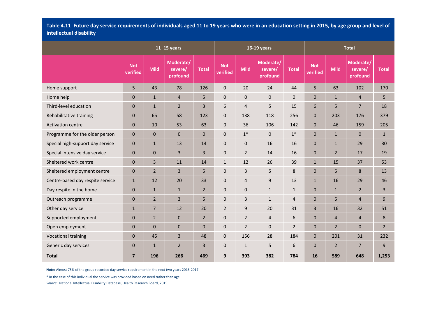Table 4.11 Future day service requirements of individuals aged 11 to 19 years who were in an education setting in 2015, by age group and level of **intellectual disability**

|                                  |                        |                | $11 - 15$ years                  |                |                        |                | 16-19 years                      |                |                        |                | <b>Total</b>                     |                |
|----------------------------------|------------------------|----------------|----------------------------------|----------------|------------------------|----------------|----------------------------------|----------------|------------------------|----------------|----------------------------------|----------------|
|                                  | <b>Not</b><br>verified | <b>Mild</b>    | Moderate/<br>severe/<br>profound | <b>Total</b>   | <b>Not</b><br>verified | <b>Mild</b>    | Moderate/<br>severe/<br>profound | <b>Total</b>   | <b>Not</b><br>verified | <b>Mild</b>    | Moderate/<br>severe/<br>profound | <b>Total</b>   |
| Home support                     | 5                      | 43             | 78                               | 126            | $\pmb{0}$              | 20             | 24                               | 44             | 5                      | 63             | 102                              | 170            |
| Home help                        | $\mathbf 0$            | $\mathbf{1}$   | $\overline{4}$                   | 5              | $\mathbf 0$            | $\pmb{0}$      | $\pmb{0}$                        | $\pmb{0}$      | $\mathbf 0$            | $\mathbf{1}$   | $\overline{4}$                   | 5              |
| Third-level education            | $\mathbf 0$            | $\mathbf{1}$   | $\overline{2}$                   | 3              | $\boldsymbol{6}$       | $\overline{4}$ | 5                                | 15             | 6                      | 5              | $\overline{7}$                   | 18             |
| Rehabilitative training          | $\mathbf{0}$           | 65             | 58                               | 123            | $\mathbf 0$            | 138            | 118                              | 256            | $\mathbf{0}$           | 203            | 176                              | 379            |
| <b>Activation centre</b>         | $\mathbf{0}$           | 10             | 53                               | 63             | $\pmb{0}$              | 36             | 106                              | 142            | $\mathbf 0$            | 46             | 159                              | 205            |
| Programme for the older person   | $\mathbf 0$            | $\mathbf 0$    | $\mathbf 0$                      | $\mathbf 0$    | $\mathbf 0$            | $1^\ast$       | $\mathbf{0}$                     | $1*$           | 0                      | $\mathbf{1}$   | $\mathbf 0$                      | $\mathbf{1}$   |
| Special high-support day service | $\mathbf 0$            | $\mathbf{1}$   | 13                               | 14             | $\mathbf 0$            | $\mathbf 0$    | 16                               | 16             | $\mathbf{0}$           | $\mathbf{1}$   | 29                               | 30             |
| Special intensive day service    | $\mathbf{0}$           | $\mathbf{0}$   | 3                                | 3              | $\mathbf 0$            | $\overline{2}$ | 14                               | 16             | $\mathbf 0$            | $\overline{2}$ | 17                               | 19             |
| Sheltered work centre            | $\overline{0}$         | 3              | 11                               | 14             | $\mathbf{1}$           | 12             | 26                               | 39             | $\mathbf{1}$           | 15             | 37                               | 53             |
| Sheltered employment centre      | $\mathbf{0}$           | $\overline{2}$ | 3                                | 5              | $\mathbf 0$            | 3              | 5                                | 8              | $\mathbf{0}$           | 5              | 8                                | 13             |
| Centre-based day respite service | $\mathbf{1}$           | 12             | 20                               | 33             | $\pmb{0}$              | 4              | $9\,$                            | 13             | $\mathbf{1}$           | 16             | 29                               | 46             |
| Day respite in the home          | $\mathbf 0$            | $\mathbf{1}$   | $\mathbf{1}$                     | $\overline{2}$ | $\boldsymbol{0}$       | $\pmb{0}$      | $\mathbf{1}$                     | $\mathbf{1}$   | $\mathbf{0}$           | $\mathbf{1}$   | $\overline{2}$                   | 3              |
| Outreach programme               | $\pmb{0}$              | $\overline{2}$ | 3                                | 5              | $\boldsymbol{0}$       | 3              | $\mathbf{1}$                     | 4              | $\mathbf{0}$           | 5              | $\overline{4}$                   | 9              |
| Other day service                | $\mathbf{1}$           | $\overline{7}$ | 12                               | 20             | $\overline{2}$         | 9              | 20                               | 31             | 3                      | 16             | 32                               | 51             |
| Supported employment             | $\mathbf{0}$           | $\overline{2}$ | $\pmb{0}$                        | $\overline{2}$ | $\pmb{0}$              | $\overline{2}$ | $\overline{a}$                   | 6              | $\mathbf{0}$           | $\overline{a}$ | $\overline{4}$                   | 8              |
| Open employment                  | $\mathbf{0}$           | $\mathbf{0}$   | 0                                | $\mathbf 0$    | $\mathbf 0$            | $\overline{2}$ | $\mathbf 0$                      | $\overline{2}$ | $\mathbf{0}$           | $\overline{2}$ | $\mathbf 0$                      | $\overline{2}$ |
| <b>Vocational training</b>       | $\overline{0}$         | 45             | 3                                | 48             | $\mathbf 0$            | 156            | 28                               | 184            | 0                      | 201            | 31                               | 232            |
| Generic day services             | $\mathbf 0$            | $\mathbf{1}$   | $\overline{2}$                   | 3              | $\pmb{0}$              | $\mathbf{1}$   | 5                                | 6              | $\mathbf{0}$           | $\overline{2}$ | $\overline{7}$                   | 9              |
| <b>Total</b>                     | $\overline{7}$         | 196            | 266                              | 469            | 9                      | 393            | 382                              | 784            | 16                     | 589            | 648                              | 1,253          |

**Note:** Almost 75% of the group recorded day service requirement in the next two years 2016‐2017

\* In the case of this individual the service was provided based on need rather than age.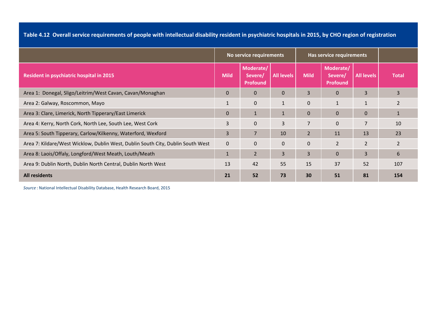Table 4.12 Overall service requirements of people with intellectual disability resident in psychiatric hospitals in 2015, by CHO region of registration

|                                                                                 |              | No service requirements                 |                   |                | Has service requirements                |                   |                |
|---------------------------------------------------------------------------------|--------------|-----------------------------------------|-------------------|----------------|-----------------------------------------|-------------------|----------------|
| <b>Resident in psychiatric hospital in 2015</b>                                 | <b>Mild</b>  | Moderate/<br>Severe/<br><b>Profound</b> | <b>All levels</b> | <b>Mild</b>    | Moderate/<br>Severe/<br><b>Profound</b> | <b>All levels</b> | <b>Total</b>   |
| Area 1: Donegal, Sligo/Leitrim/West Cavan, Cavan/Monaghan                       | $\mathbf 0$  | $\mathbf 0$                             | $\mathbf 0$       | 3              | $\mathbf{0}$                            | 3                 | 3              |
| Area 2: Galway, Roscommon, Mayo                                                 |              | $\mathbf{0}$                            | $\mathbf{1}$      | $\mathbf 0$    | $\mathbf{1}$                            |                   | $\overline{2}$ |
| Area 3: Clare, Limerick, North Tipperary/East Limerick                          | $\mathbf{0}$ | $\mathbf{1}$                            | $\mathbf{1}$      | $\mathbf{0}$   | $\mathbf{0}$                            | $\mathbf{0}$      |                |
| Area 4: Kerry, North Cork, North Lee, South Lee, West Cork                      | 3            | $\mathbf{0}$                            | 3                 | $\overline{7}$ | $\mathbf 0$                             | 7                 | 10             |
| Area 5: South Tipperary, Carlow/Kilkenny, Waterford, Wexford                    | 3            | $\overline{7}$                          | 10                | $\overline{2}$ | 11                                      | 13                | 23             |
| Area 7: Kildare/West Wicklow, Dublin West, Dublin South City, Dublin South West | $\mathbf{0}$ | $\mathbf{0}$                            | $\mathbf{0}$      | $\mathbf{0}$   | $\overline{2}$                          | $\overline{2}$    | 2              |
| Area 8: Laois/Offaly, Longford/West Meath, Louth/Meath                          |              | $\overline{2}$                          | 3                 | 3              | $\mathbf{0}$                            | 3                 | 6              |
| Area 9: Dublin North, Dublin North Central, Dublin North West                   | 13           | 42                                      | 55                | 15             | 37                                      | 52                | 107            |
| <b>All residents</b>                                                            | 21           | 52                                      | 73                | 30             | 51                                      | 81                | 154            |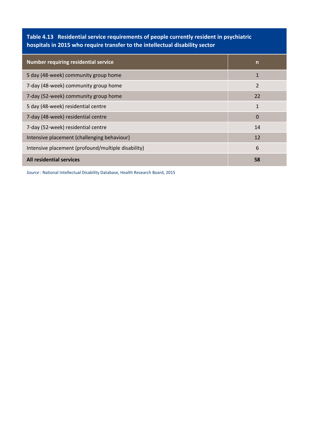**Table 4.13 Residential service requirements of people currently resident in psychiatric hospitals in 2015 who require transfer to the intellectual disability sector**

| <b>Number requiring residential service</b>        | $\mathsf{n}$    |
|----------------------------------------------------|-----------------|
| 5 day (48-week) community group home               | 1               |
| 7-day (48-week) community group home               | $\overline{2}$  |
| 7-day (52-week) community group home               | 22              |
| 5 day (48-week) residential centre                 | $\mathbf{1}$    |
| 7-day (48-week) residential centre                 | $\bf{0}$        |
| 7-day (52-week) residential centre                 | 14              |
| Intensive placement (challenging behaviour)        | 12              |
| Intensive placement (profound/multiple disability) | $6\phantom{1}6$ |
| <b>All residential services</b>                    | 58              |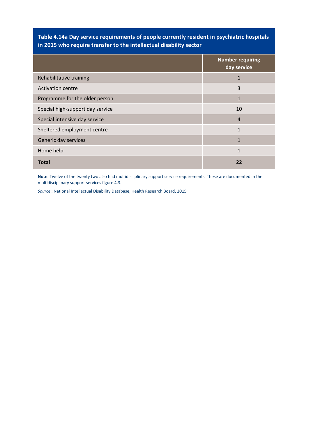# **Table 4.14a Day service requirements of people currently resident in psychiatric hospitals in 2015 who require transfer to the intellectual disability sector**

|                                  | <b>Number requiring</b><br>day service |
|----------------------------------|----------------------------------------|
| Rehabilitative training          | $\mathbf{1}$                           |
| <b>Activation centre</b>         | 3                                      |
| Programme for the older person   | $\mathbf{1}$                           |
| Special high-support day service | 10                                     |
| Special intensive day service    | 4                                      |
| Sheltered employment centre      | $\mathbf{1}$                           |
| Generic day services             | $\mathbf{1}$                           |
| Home help                        | 1                                      |
| <b>Total</b>                     | 22                                     |

**Note:** Twelve of the twenty two also had multidisciplinary support service requirements. These are documented in the multidisciplinary support services figure 4.3.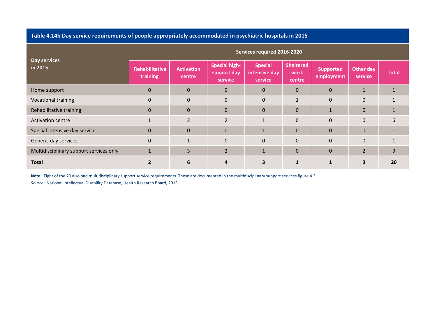### **Table 4.14b Day service requirements of people appropriately accommodated in psychiatric hospitals in 2015**

| Day services<br>in 2015                 | Services required 2016-2020       |                             |                                                |                                            |                                    |                                |                             |              |
|-----------------------------------------|-----------------------------------|-----------------------------|------------------------------------------------|--------------------------------------------|------------------------------------|--------------------------------|-----------------------------|--------------|
|                                         | <b>Rehabilitative</b><br>training | <b>Activation</b><br>centre | <b>Special high-</b><br>support day<br>service | <b>Special</b><br>intensive day<br>service | <b>Sheltered</b><br>work<br>centre | <b>Supported</b><br>employment | <b>Other day</b><br>service | <b>Total</b> |
| Home support                            | $\mathbf 0$                       | $\Omega$                    | $\Omega$                                       | $\mathbf{0}$                               | $\Omega$                           | $\mathbf{0}$                   | $\mathbf{1}$                |              |
| Vocational training                     | $\Omega$                          | $\mathbf{0}$                | $\mathbf 0$                                    | $\mathbf 0$                                | 1                                  | $\mathbf 0$                    | $\overline{0}$              |              |
| Rehabilitative training                 | $\mathbf{0}$                      | $\mathbf{0}$                | $\mathbf{0}$                                   | $\pmb{0}$                                  | 0                                  | $\mathbf{1}$                   | $\mathbf{0}$                |              |
| <b>Activation centre</b>                |                                   | $\overline{2}$              | $\overline{2}$                                 | $\mathbf{1}$                               | $\Omega$                           | $\Omega$                       | $\Omega$                    | 6            |
| Special intensive day service           | $\mathbf{0}$                      | $\mathbf 0$                 | $\mathbf{0}$                                   | $1\,$                                      | $\mathbf 0$                        | $\mathbf 0$                    | $\mathbf{0}$                |              |
| Generic day services                    | $\Omega$                          | $\mathbf{1}$                | $\Omega$                                       | $\Omega$                                   | $\Omega$                           | $\Omega$                       | $\Omega$                    |              |
| Multidisciplinary support services only | $\mathbf{1}$                      | 3                           | $\overline{2}$                                 | $\mathbf{1}$                               | 0                                  | $\mathbf 0$                    | $\overline{2}$              | 9            |
| <b>Total</b>                            |                                   | 6                           | 4                                              | 3                                          |                                    |                                | 3                           | 20           |

**Note:** Eight of the 20 also had multidisciplinary support service requirements. These are documented in the multidisciplinary support services figure 4.3.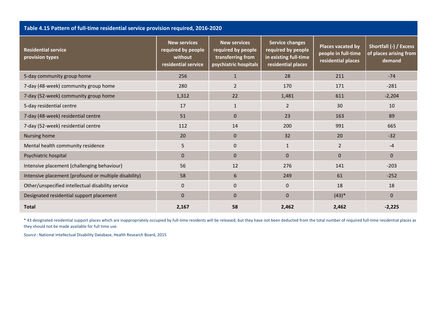| Table 4.15 Pattern of full-time residential service provision required, 2016-2020 |                                                                             |                                                                                         |                                                                                             |                                                                       |                                                            |  |
|-----------------------------------------------------------------------------------|-----------------------------------------------------------------------------|-----------------------------------------------------------------------------------------|---------------------------------------------------------------------------------------------|-----------------------------------------------------------------------|------------------------------------------------------------|--|
| <b>Residential service</b><br>provision types                                     | <b>New services</b><br>required by people<br>without<br>residential service | <b>New services</b><br>required by people<br>transferring from<br>psychiatric hospitals | <b>Service changes</b><br>required by people<br>in existing full-time<br>residential places | <b>Places vacated by</b><br>people in full-time<br>residential places | Shortfall (-) / Excess<br>of places arising from<br>demand |  |
| 5-day community group home                                                        | 256                                                                         | $1\,$                                                                                   | 28                                                                                          | 211                                                                   | $-74$                                                      |  |
| 7-day (48-week) community group home                                              | 280                                                                         | $\overline{2}$                                                                          | 170                                                                                         | 171                                                                   | $-281$                                                     |  |
| 7-day (52-week) community group home                                              | 1,312                                                                       | 22                                                                                      | 1,481                                                                                       | 611                                                                   | $-2,204$                                                   |  |
| 5-day residential centre                                                          | 17                                                                          | $\mathbf{1}$                                                                            | 2                                                                                           | 30                                                                    | 10                                                         |  |
| 7-day (48-week) residential centre                                                | 51                                                                          | $\mathbf{0}$                                                                            | 23                                                                                          | 163                                                                   | 89                                                         |  |
| 7-day (52-week) residential centre                                                | 112                                                                         | 14                                                                                      | 200                                                                                         | 991                                                                   | 665                                                        |  |
| Nursing home                                                                      | 20                                                                          | $\mathbf{0}$                                                                            | 32                                                                                          | 20                                                                    | $-32$                                                      |  |
| Mental health community residence                                                 | 5                                                                           | $\mathbf 0$                                                                             | $\mathbf{1}$                                                                                | $\overline{2}$                                                        | $-4$                                                       |  |
| Psychiatric hospital                                                              | $\mathbf{0}$                                                                | $\overline{0}$                                                                          | $\mathbf{0}$                                                                                | $\Omega$                                                              | $\Omega$                                                   |  |
| Intensive placement (challenging behaviour)                                       | 56                                                                          | 12                                                                                      | 276                                                                                         | 141                                                                   | $-203$                                                     |  |
| Intensive placement (profound or multiple disability)                             | 58                                                                          | 6                                                                                       | 249                                                                                         | 61                                                                    | $-252$                                                     |  |
| Other/unspecified intellectual disability service                                 | $\mathbf{0}$                                                                | $\mathbf 0$                                                                             | $\mathbf{0}$                                                                                | 18                                                                    | 18                                                         |  |
| Designated residential support placement                                          | $\mathbf{0}$                                                                | $\mathbf{0}$                                                                            | $\mathbf 0$                                                                                 | $(43)*$                                                               | $\Omega$                                                   |  |
| <b>Total</b>                                                                      | 2,167                                                                       | 58                                                                                      | 2,462                                                                                       | 2,462                                                                 | $-2,225$                                                   |  |

\* 43 designated residential support places which are inappropriately occupied by full‐time residents will be released, but they have not been deducted from the total number of required full‐time residential places as they should not be made available for full time use.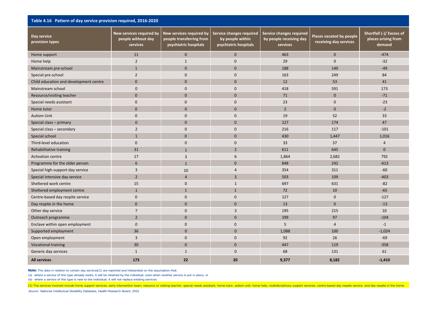| Table 4.16 Pattern of day service provision required, 2016-2020 |                                                            |                                                                               |                                                                       |                                                                 |                                                    |                                                           |
|-----------------------------------------------------------------|------------------------------------------------------------|-------------------------------------------------------------------------------|-----------------------------------------------------------------------|-----------------------------------------------------------------|----------------------------------------------------|-----------------------------------------------------------|
| Day service<br>provision types                                  | New services required by<br>people without day<br>services | New services required by<br>people transferring from<br>psychiatric hospitals | Service changes required<br>by people within<br>psychiatric hospitals | Service changes required<br>by people receiving day<br>services | Places vacated by people<br>receiving day services | Shortfall (-)/ Excess of<br>places arising from<br>demand |
| Home support                                                    | 11                                                         | $\Omega$                                                                      | $\mathbf{0}$                                                          | 463                                                             | $\mathbf{0}$                                       | $-474$                                                    |
| Home help                                                       | $\overline{2}$                                             | $\mathbf{1}$                                                                  | $\mathbf 0$                                                           | 29                                                              | $\mathbf 0$                                        | $-32$                                                     |
| Mainstream pre-school                                           | $\mathbf{1}$                                               | $\mathbf{0}$                                                                  | $\mathbf{0}$                                                          | 188                                                             | 140                                                | $-49$                                                     |
| Special pre-school                                              | $\overline{2}$                                             | $\mathbf{0}$                                                                  | $\mathbf{0}$                                                          | 163                                                             | 249                                                | 84                                                        |
| Child education and development centre                          | $\mathbf{0}$                                               | $\mathbf{0}$                                                                  | $\mathbf{0}$                                                          | 12                                                              | 53                                                 | 41                                                        |
| Mainstream school                                               | $\mathbf{0}$                                               | $\mathbf{0}$                                                                  | $\mathbf 0$                                                           | 418                                                             | 591                                                | 173                                                       |
| Resource/visiting teacher                                       | $\mathbf 0$                                                | $\mathbf{0}$                                                                  | $\mathbf{0}$                                                          | 71                                                              | $\pmb{0}$                                          | $-71$                                                     |
| Special needs assistant                                         | $\mathbf{0}$                                               | $\mathbf{0}$                                                                  | $\mathbf{0}$                                                          | 23                                                              | $\mathbf 0$                                        | $-23$                                                     |
| Home tutor                                                      | $\mathbf{0}$                                               | $\mathbf{0}$                                                                  | $\mathbf{0}$                                                          | $\overline{2}$                                                  | $\mathbf{0}$                                       | $-2$                                                      |
| <b>Autism Unit</b>                                              | $\mathbf{0}$                                               | $\mathbf{0}$                                                                  | $\mathbf{0}$                                                          | 19                                                              | 52                                                 | 33                                                        |
| Special class - primary                                         | $\mathbf{0}$                                               | $\mathbf{0}$                                                                  | $\mathbf{0}$                                                          | 127                                                             | 174                                                | 47                                                        |
| Special class - secondary                                       | $\overline{2}$                                             | $\mathbf{0}$                                                                  | $\mathbf{0}$                                                          | 216                                                             | 117                                                | $-101$                                                    |
| Special school                                                  | $\mathbf{1}$                                               | $\mathbf{0}$                                                                  | $\mathbf{0}$                                                          | 430                                                             | 1,447                                              | 1,016                                                     |
| Third-level education                                           | $\mathbf 0$                                                | $\mathbf{0}$                                                                  | $\mathbf 0$                                                           | 33                                                              | 37                                                 | $\overline{4}$                                            |
| Rehabilitative training                                         | 31                                                         | $\mathbf{1}$                                                                  | $\overline{2}$                                                        | 611                                                             | 645                                                | $\mathbf{0}$                                              |
| <b>Activation centre</b>                                        | 17                                                         | 3                                                                             | 6                                                                     | 1,864                                                           | 2,682                                              | 792                                                       |
| Programme for the older person                                  | $6\phantom{1}6$                                            | $\mathbf{1}$                                                                  | $\mathbf{0}$                                                          | 848                                                             | 242                                                | $-613$                                                    |
| Special high-support day service                                | 3                                                          | 10                                                                            | $\overline{4}$                                                        | 354                                                             | 311                                                | $-60$                                                     |
| Special intensive day service                                   | $\overline{2}$                                             | $\overline{4}$                                                                | 3                                                                     | 503                                                             | 109                                                | $-403$                                                    |
| Sheltered work centre                                           | 15                                                         | $\mathbf{0}$                                                                  | $\mathbf{1}$                                                          | 697                                                             | 631                                                | $-82$                                                     |
| Sheltered employment centre                                     | $\mathbf{1}$                                               | $\mathbf{1}$                                                                  | $\mathbf{1}$                                                          | 72                                                              | 10                                                 | $-65$                                                     |
| Centre-based day respite service                                | $\mathbf{0}$                                               | $\mathbf{0}$                                                                  | $\mathbf 0$                                                           | 127                                                             | $\mathbf 0$                                        | $-127$                                                    |
| Day respite in the home                                         | $\mathbf{0}$                                               | $\mathbf{0}$                                                                  | $\mathbf{0}$                                                          | 13                                                              | $\mathbf{0}$                                       | $-13$                                                     |
| Other day service                                               | $\overline{7}$                                             | $\mathbf{0}$                                                                  | $\overline{3}$                                                        | 195                                                             | 215                                                | 10                                                        |
| Outreach programme                                              | $\overline{2}$                                             | $\Omega$                                                                      | $\mathbf{0}$                                                          | 199                                                             | 97                                                 | $-104$                                                    |
| Enclave within open employment                                  | $\mathbf{0}$                                               | $\mathbf{0}$                                                                  | $\mathbf{0}$                                                          | 5                                                               | $\overline{4}$                                     | $-1$                                                      |
| Supported employment                                            | 36                                                         | $\mathbf{0}$                                                                  | $\mathbf{0}$                                                          | 1,088                                                           | 100                                                | $-1,024$                                                  |
| Open employment                                                 | $\overline{3}$                                             | $\mathbf{0}$                                                                  | $\mathbf{0}$                                                          | 92                                                              | 26                                                 | $-69$                                                     |
| <b>Vocational training</b>                                      | 30                                                         | $\mathbf{0}$                                                                  | $\mathbf{0}$                                                          | 447                                                             | 119                                                | $-358$                                                    |
| Generic day services                                            | $\mathbf{1}$                                               | $\mathbf{1}$                                                                  | $\mathbf{0}$                                                          | 68                                                              | 131                                                | 61                                                        |
| <b>All services</b>                                             | 173                                                        | 22                                                                            | 20                                                                    | 9,377                                                           | 8,182                                              | $-1,410$                                                  |

**Note:** The data in relation to certain day services[1] are reported and interpreted on the assumption that:

(a) where a service of this type already exists, it will be retained by the individual, even when another service is put in place, or

(b) where a service of this type is new to the individual, it will not replace existing services.

[1] The services involved include home support services, early intervention team, resource or visiting teacher, special needs assistant, home tutor, autism unit, home help, multidisciplinary support services, centre-based